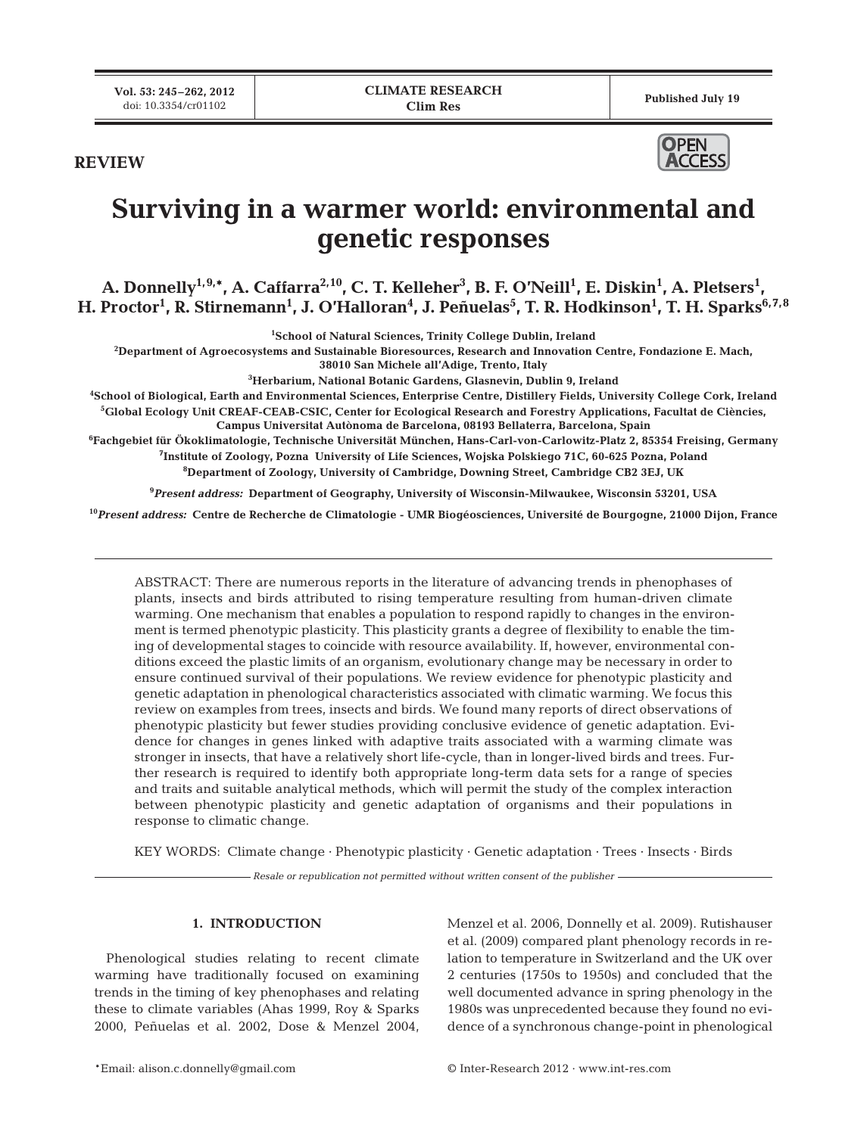**REVIEW**



# **Surviving in a warmer world: environmental and genetic responses**

A. Donnelly<sup>1,9,</sup>\*, A. Caffarra<sup>2,10</sup>, C. T. Kelleher<sup>3</sup>, B. F. O'Neill<sup>1</sup>, E. Diskin<sup>1</sup>, A. Pletsers<sup>1</sup>,  $\bf H$ . Proctor<sup>1</sup>, R. Stirnemann<sup>1</sup>, J. O'Halloran<sup>4</sup>, J. Peñuelas<sup>5</sup>, T. R. Hodkinson<sup>1</sup>, T. H. Sparks<sup>6,7,8</sup>

**1 School of Natural Sciences, Trinity College Dublin, Ireland**

**2 Department of Agroecosystems and Sustainable Bioresources, Research and Innovation Centre, Fondazione E. Mach,** 

**38010 San Michele all'Adige, Trento, Italy**

**3 Herbarium, National Botanic Gardens, Glasnevin, Dublin 9, Ireland**

**4 School of Biological, Earth and Environmental Sciences, Enterprise Centre, Distillery Fields, University College Cork, Ireland**

**5 Global Ecology Unit CREAF-CEAB-CSIC, Center for Ecological Research and Forestry Applications, Facultat de Ciències, Campus Universitat Autònoma de Barcelona, 08193 Bellaterra, Barcelona, Spain**

**6 Fachgebiet für Ökoklimatologie, Technische Universität München, Hans-Carl-von-Carlowitz-Platz 2, 85354 Freising, Germany 7 Institute of Zoology, Pozna University of Life Sciences, Wojska Polskiego 71C, 60-625 Pozna, Poland**

**8 Department of Zoology, University of Cambridge, Downing Street, Cambridge CB2 3EJ, UK**

**9** *Present address:* **Department of Geography, University of Wisconsin-Milwaukee, Wisconsin 53201, USA**

**<sup>10</sup>***Present address:* **Centre de Recherche de Climatologie - UMR Biogéosciences, Université de Bourgogne, 21000 Dijon, France**

ABSTRACT: There are numerous reports in the literature of advancing trends in phenophases of plants, insects and birds attributed to rising temperature resulting from human-driven climate warming. One mechanism that enables a population to respond rapidly to changes in the environment is termed phenotypic plasticity. This plasticity grants a degree of flexibility to enable the timing of developmental stages to coincide with resource availability. If, however, environmental conditions exceed the plastic limits of an organism, evolutionary change may be necessary in order to ensure continued survival of their populations. We review evidence for phenotypic plasticity and genetic adaptation in phenological characteristics associated with climatic warming. We focus this review on examples from trees, insects and birds. We found many reports of direct observations of phenotypic plasticity but fewer studies providing conclusive evidence of genetic adaptation. Evidence for changes in genes linked with adaptive traits associated with a warming climate was stronger in insects, that have a relatively short life-cycle, than in longer-lived birds and trees. Further research is required to identify both appropriate long-term data sets for a range of species and traits and suitable analytical methods, which will permit the study of the complex interaction between phenotypic plasticity and genetic adaptation of organisms and their populations in response to climatic change.

KEY WORDS: Climate change · Phenotypic plasticity · Genetic adaptation · Trees · Insects · Birds

*Resale or republication not permitted without written consent of the publisher*

## **1. INTRODUCTION**

Phenological studies relating to recent climate warming have traditionally focused on examining trends in the timing of key phenophases and relating these to climate variables (Ahas 1999, Roy & Sparks 2000, Peñuelas et al. 2002, Dose & Menzel 2004,

Menzel et al. 2006, Donnelly et al. 2009). Rutishauser et al. (2009) compared plant phenology records in relation to temperature in Switzerland and the UK over 2 centuries (1750s to 1950s) and concluded that the well documented advance in spring phenology in the 1980s was unprecedented because they found no evidence of a synchronous change-point in phenological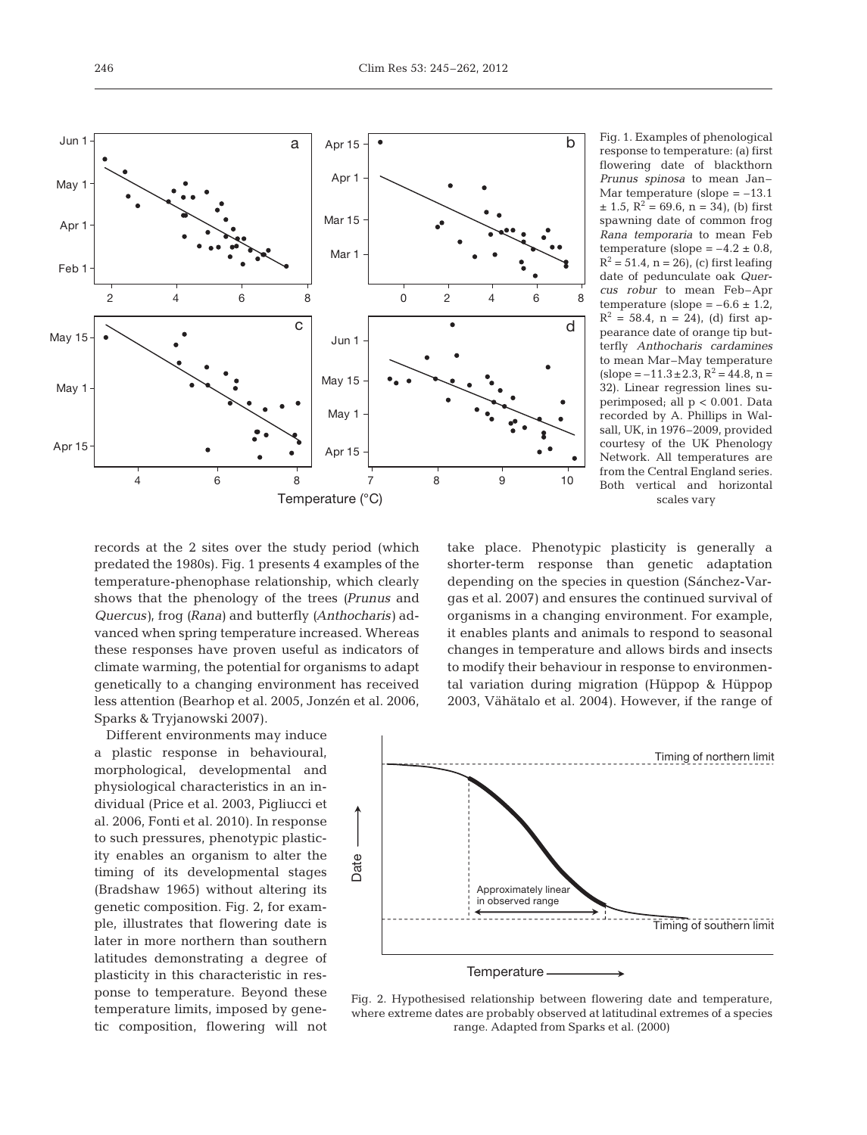

Fig. 1. Examples of phenological response to temperature: (a) first flowering date of blackthorn *Prunus spinosa* to mean Jan-Mar temperature (slope  $= -13.1$  $\pm$  1.5, R<sup>2</sup> = 69.6, n = 34), (b) first spawning date of common frog *Rana temporaria* to mean Feb temperature (slope  $=-4.2 \pm 0.8$ ,  $R^2 = 51.4$ , n = 26), (c) first leafing date of pedunculate oak *Quercus robur* to mean Feb–Apr temperature (slope  $=-6.6 \pm 1.2$ ,  $R^2 = 58.4$ , n = 24), (d) first appearance date of orange tip butterfly *Anthocharis cardamines* to mean Mar–May temperature  $(slope = -11.3 \pm 2.3, R^2 = 44.8, n =$ 32). Linear regression lines superimposed; all p < 0.001. Data recorded by A. Phillips in Walsall, UK, in 1976–2009, provided courtesy of the UK Phenology Network. All temperatures are from the Central England series. Both vertical and horizontal scales vary

records at the 2 sites over the study period (which predated the 1980s). Fig. 1 presents 4 examples of the temperature-phenophase relationship, which clearly shows that the phenology of the trees *(Prunus* and *Quercus*), frog *(Rana)* and butterfly *(Anthocharis)* advanced when spring temperature increased. Whereas these responses have proven useful as indicators of climate warming, the potential for organisms to adapt genetically to a changing environment has received less attention (Bearhop et al. 2005, Jonzén et al. 2006, Sparks & Tryjanowski 2007).

Different environments may induce a plastic response in behavioural, morphological, developmental and physiological characteristics in an individual (Price et al. 2003, Pigliucci et al. 2006, Fonti et al. 2010). In response to such pressures, phenotypic plasticity enables an organism to alter the timing of its developmental stages (Bradshaw 1965) without altering its genetic composition. Fig. 2, for example, illustrates that flowering date is later in more northern than southern latitudes demonstrating a degree of plasticity in this characteristic in res ponse to temperature. Beyond these temperature limits, imposed by genetic composition, flowering will not take place. Phenotypic plasticity is generally a shorter-term response than genetic adaptation depending on the species in question (Sánchez-Vargas et al. 2007) and ensures the continued survival of organisms in a changing environment. For example, it enables plants and animals to respond to seasonal changes in temperature and allows birds and insects to modify their behaviour in response to environmental variation during migration (Hüppop & Hüppop 2003, Vähätalo et al. 2004). However, if the range of



Fig. 2. Hypothesised relationship between flowering date and temperature, where extreme dates are probably observed at latitudinal extremes of a species range. Adapted from Sparks et al. (2000)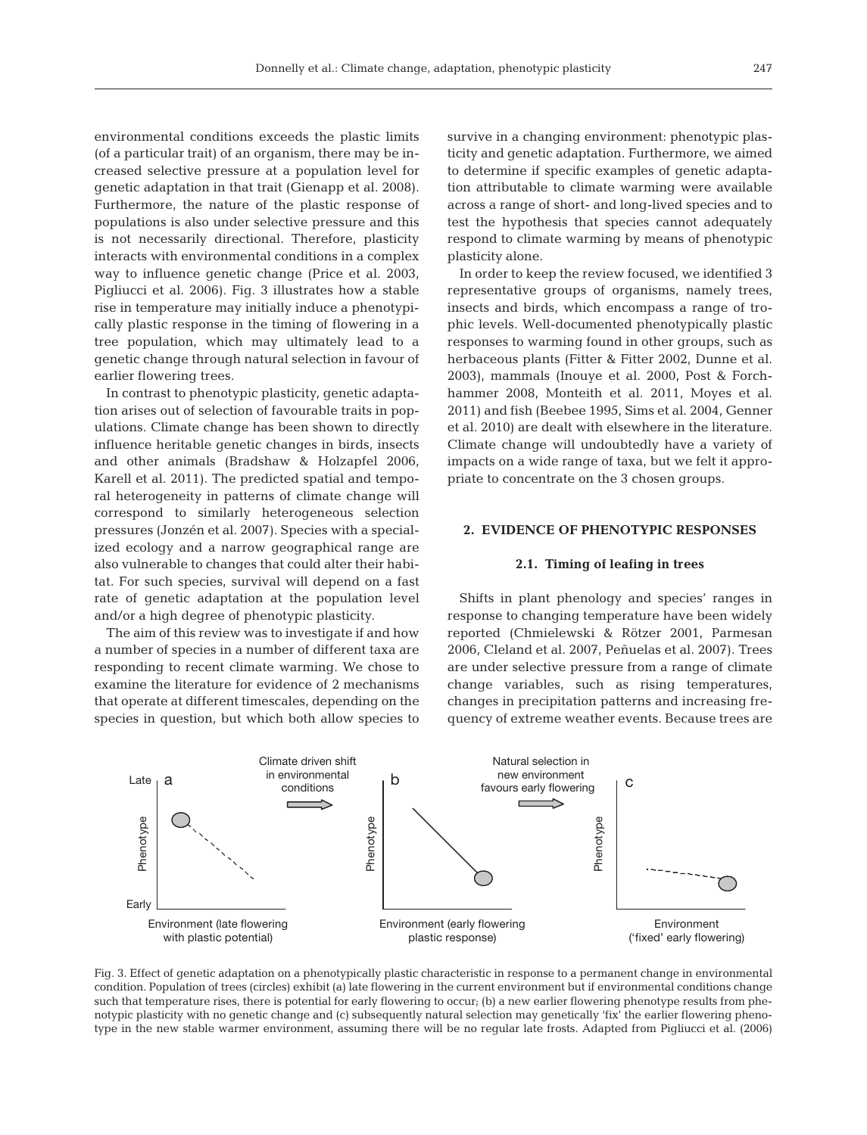environmental conditions exceeds the plastic limits (of a particular trait) of an organism, there may be in creased selective pressure at a population level for genetic adaptation in that trait (Gienapp et al. 2008). Furthermore, the nature of the plastic response of populations is also under selective pressure and this is not necessarily directional. Therefore, plasticity interacts with environmental conditions in a complex way to influence genetic change (Price et al. 2003, Pigliucci et al. 2006). Fig. 3 illustrates how a stable rise in temperature may initially induce a phenotypically plastic response in the timing of flowering in a tree population, which may ultimately lead to a genetic change through natural selection in favour of earlier flowering trees.

In contrast to phenotypic plasticity, genetic adaptation arises out of selection of favourable traits in populations. Climate change has been shown to directly influence heritable genetic changes in birds, insects and other animals (Bradshaw & Holzapfel 2006, Karell et al. 2011). The predicted spatial and temporal heterogeneity in patterns of climate change will correspond to similarly heterogeneous selection pressures (Jonzén et al. 2007). Species with a specialized ecology and a narrow geographical range are also vulnerable to changes that could alter their habitat. For such species, survival will depend on a fast rate of genetic adaptation at the population level and/or a high degree of phenotypic plasticity.

The aim of this review was to investigate if and how a number of species in a number of different taxa are responding to recent climate warming. We chose to examine the literature for evidence of 2 mechanisms that operate at different timescales, depending on the species in question, but which both allow species to survive in a changing environment: phenotypic plasticity and genetic adaptation. Furthermore, we aimed to determine if specific examples of genetic adaptation attributable to climate warming were available across a range of short- and long-lived species and to test the hypothesis that species cannot adequately respond to climate warming by means of phenotypic plasticity alone.

In order to keep the review focused, we identified 3 representative groups of organisms, namely trees, insects and birds, which encompass a range of trophic levels. Well-documented phenotypically plastic responses to warming found in other groups, such as herbaceous plants (Fitter & Fitter 2002, Dunne et al. 2003), mammals (Inouye et al. 2000, Post & Forchhammer 2008, Monteith et al. 2011, Moyes et al. 2011) and fish (Beebee 1995, Sims et al. 2004, Genner et al. 2010) are dealt with elsewhere in the literature. Climate change will undoubtedly have a variety of impacts on a wide range of taxa, but we felt it appropriate to concentrate on the 3 chosen groups.

## **2. EVIDENCE OF PHENOTYPIC RESPONSES**

# **2.1. Timing of leafing in trees**

Shifts in plant phenology and species' ranges in response to changing temperature have been widely reported (Chmielewski & Rötzer 2001, Parmesan 2006, Cleland et al. 2007, Peñuelas et al. 2007). Trees are under selective pressure from a range of climate change variables, such as rising temperatures, changes in precipitation patterns and increasing frequency of extreme weather events. Because trees are



Fig. 3. Effect of genetic adaptation on a phenotypically plastic characteristic in response to a permanent change in environmental condition. Population of trees (circles) exhibit (a) late flowering in the current environment but if environmental conditions change such that temperature rises, there is potential for early flowering to occur; (b) a new earlier flowering phenotype results from phenotypic plasticity with no genetic change and (c) subsequently natural selection may genetically 'fix' the earlier flowering phenotype in the new stable warmer environment, assuming there will be no regular late frosts. Adapted from Pigliucci et al. (2006)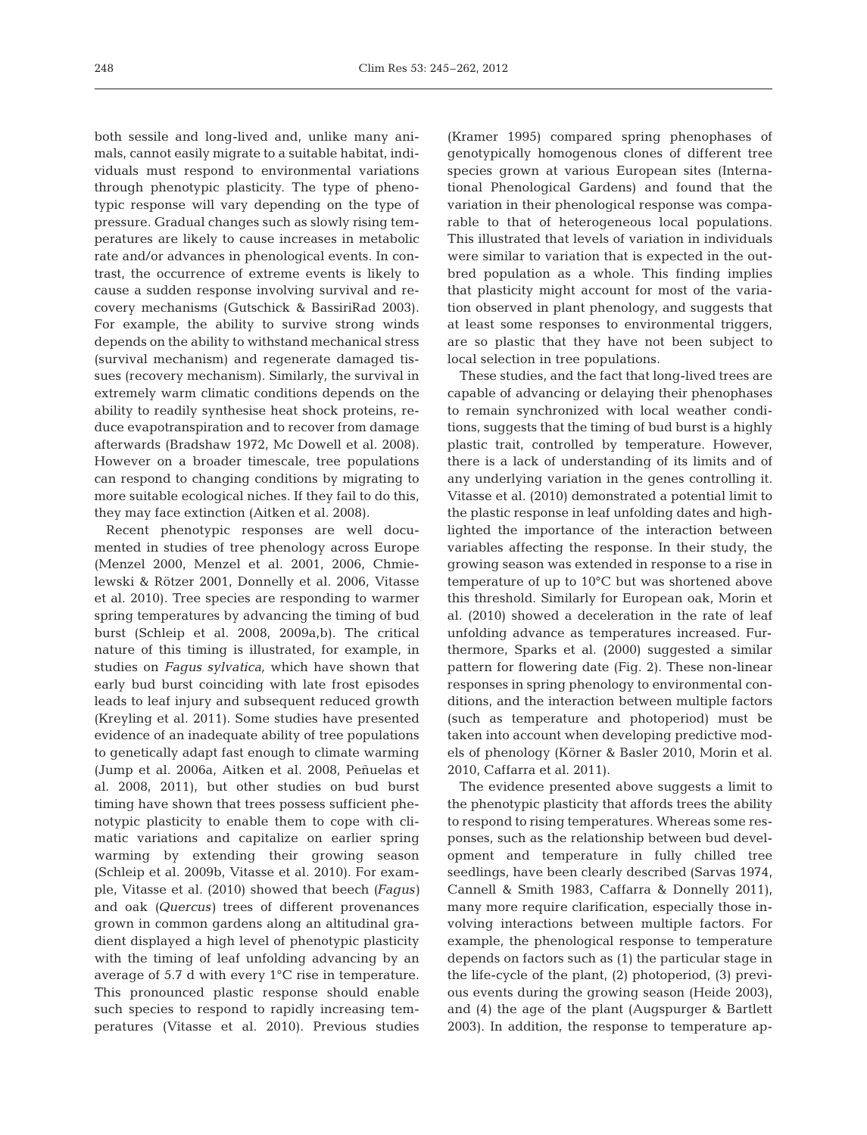both sessile and long-lived and, unlike many animals, cannot easily migrate to a suitable habitat, individuals must respond to environmental variations through phenotypic plasticity. The type of phenotypic response will vary depending on the type of pressure. Gradual changes such as slowly rising temperatures are likely to cause increases in metabolic rate and/or advances in phenological events. In contrast, the occurrence of extreme events is likely to cause a sudden response involving survival and re covery mechanisms (Gutschick & BassiriRad 2003). For example, the ability to survive strong winds depends on the ability to withstand mechanical stress (survival mechanism) and regenerate damaged tissues (recovery mechanism). Similarly, the survival in ex tremely warm climatic conditions depends on the ability to readily synthesise heat shock proteins, reduce evapotranspiration and to recover from damage afterwards (Bradshaw 1972, Mc Dowell et al. 2008). However on a broader timescale, tree populations can respond to changing conditions by migrating to more suitable ecological niches. If they fail to do this, they may face extinction (Aitken et al. 2008).

Recent phenotypic responses are well documented in studies of tree phenology across Europe (Menzel 2000, Menzel et al. 2001, 2006, Chmielewski & Rötzer 2001, Donnelly et al. 2006, Vitasse et al. 2010). Tree species are responding to warmer spring temperatures by advancing the timing of bud burst (Schleip et al. 2008, 2009a,b). The critical nature of this timing is illustrated, for example, in studies on *Fagus sylvatica,* which have shown that early bud burst coinciding with late frost episodes leads to leaf injury and subsequent reduced growth (Kreyling et al. 2011). Some studies have presented evidence of an inadequate ability of tree populations to genetically adapt fast enough to climate warming (Jump et al. 2006a, Aitken et al. 2008, Peñuelas et al. 2008, 2011), but other studies on bud burst timing have shown that trees possess sufficient phenotypic plasticity to enable them to cope with climatic variations and capitalize on earlier spring warming by extending their growing season (Schleip et al. 2009b, Vitasse et al. 2010). For example, Vitasse et al. (2010) showed that beech *(Fagus)* and oak *(Quercus)* trees of different provenances grown in common gardens along an altitudinal gradient displayed a high level of phenotypic plasticity with the timing of leaf unfolding advancing by an average of 5.7 d with every 1°C rise in temperature. This pronounced plastic response should enable such species to respond to rapidly increasing temperatures (Vitasse et al. 2010). Previous studies

(Kramer 1995) compared spring phenophases of genotypically homogenous clones of different tree species grown at various European sites (International Phenological Gardens) and found that the variation in their phenological response was comparable to that of heterogeneous local populations. This illustrated that levels of variation in individuals were similar to variation that is expected in the outbred population as a whole. This finding implies that plasticity might account for most of the variation observed in plant phenology, and suggests that at least some responses to environmental triggers, are so plastic that they have not been subject to local selection in tree populations.

These studies, and the fact that long-lived trees are capable of advancing or delaying their phenophases to remain synchronized with local weather conditions, suggests that the timing of bud burst is a highly plastic trait, controlled by temperature. However, there is a lack of understanding of its limits and of any underlying variation in the genes controlling it. Vitasse et al. (2010) demonstrated a potential limit to the plastic response in leaf unfolding dates and highlighted the importance of the interaction between variables affecting the response. In their study, the growing season was extended in response to a rise in temperature of up to 10°C but was shortened above this threshold. Similarly for European oak, Morin et al. (2010) showed a deceleration in the rate of leaf unfolding advance as temperatures increased. Furthermore, Sparks et al. (2000) suggested a similar pattern for flowering date (Fig. 2). These non-linear responses in spring phenology to environmental conditions, and the interaction between multiple factors (such as temperature and photoperiod) must be taken into account when developing predictive models of phenology (Körner & Basler 2010, Morin et al. 2010, Caffarra et al. 2011).

The evidence presented above suggests a limit to the phenotypic plasticity that affords trees the ability to respond to rising temperatures. Whereas some res ponses, such as the relationship between bud development and temperature in fully chilled tree seedlings, have been clearly described (Sarvas 1974, Cannell & Smith 1983, Caffarra & Donnelly 2011), many more require clarification, especially those involving interactions between multiple factors. For example, the phenological response to temperature depends on factors such as (1) the particular stage in the life-cycle of the plant, (2) photoperiod, (3) previous events during the growing season (Heide 2003), and (4) the age of the plant (Augspurger & Bartlett 2003). In addition, the response to temperature ap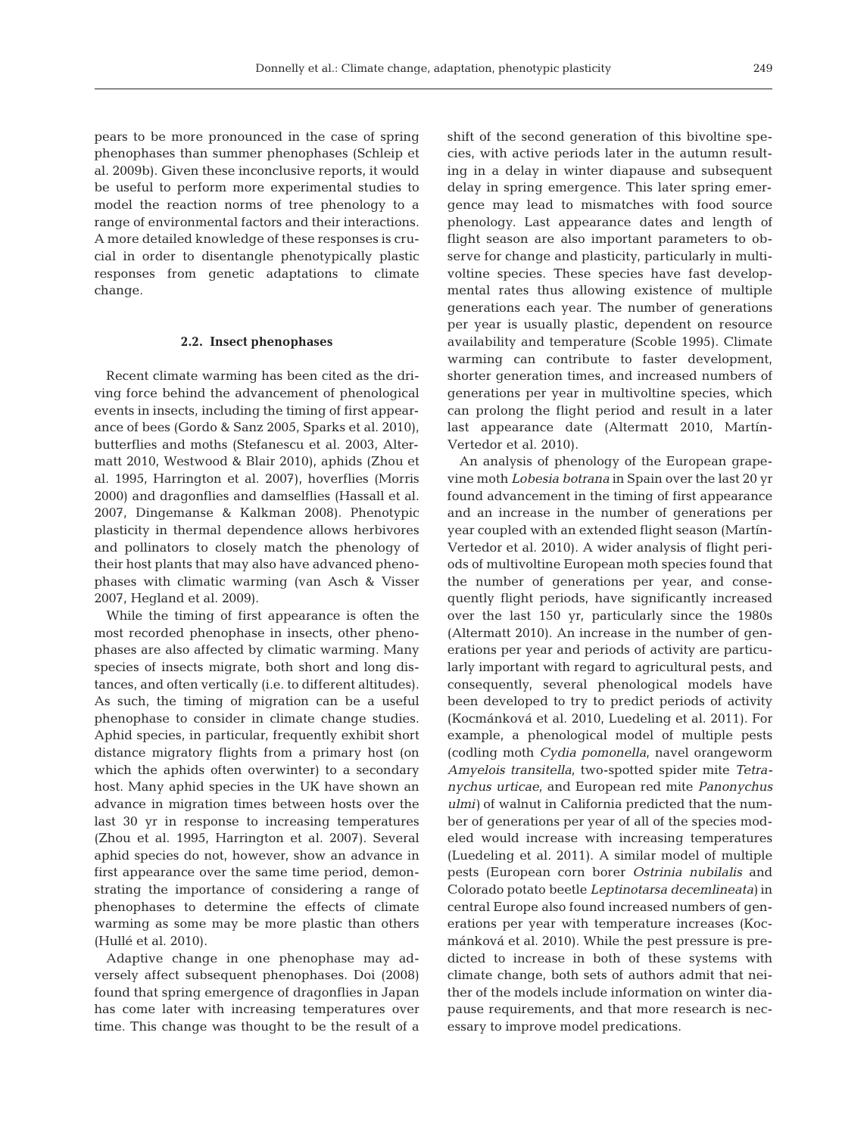pears to be more pronounced in the case of spring phenophases than summer phenophases (Schleip et al. 2009b). Given these inconclusive reports, it would be useful to perform more experimental studies to model the reaction norms of tree phenology to a range of environmental factors and their interactions. A more detailed knowledge of these responses is crucial in order to disentangle phenotypically plastic responses from genetic adaptations to climate change.

#### **2.2. Insect phenophases**

Recent climate warming has been cited as the driving force behind the advancement of phenological events in insects, including the timing of first appearance of bees (Gordo & Sanz 2005, Sparks et al. 2010), butterflies and moths (Stefanescu et al. 2003, Altermatt 2010, Westwood & Blair 2010), aphids (Zhou et al. 1995, Harrington et al. 2007), hoverflies (Morris 2000) and dragonflies and damselflies (Hassall et al. 2007, Dingemanse & Kalkman 2008). Phenotypic plasticity in thermal dependence allows herbivores and pollinators to closely match the phenology of their host plants that may also have advanced phenophases with climatic warming (van Asch & Visser 2007, Hegland et al. 2009).

While the timing of first appearance is often the most recorded phenophase in insects, other phenophases are also affected by climatic warming. Many species of insects migrate, both short and long distances, and often vertically (i.e. to different altitudes). As such, the timing of migration can be a useful phenophase to consider in climate change studies. Aphid species, in particular, frequently exhibit short distance migratory flights from a primary host (on which the aphids often overwinter) to a secondary host. Many aphid species in the UK have shown an advance in migration times between hosts over the last 30 yr in response to increasing temperatures (Zhou et al. 1995, Harrington et al. 2007). Several aphid species do not, however, show an advance in first appearance over the same time period, demonstrating the importance of considering a range of phenophases to determine the effects of climate warming as some may be more plastic than others (Hullé et al. 2010).

Adaptive change in one phenophase may adversely affect subsequent phenophases. Doi (2008) found that spring emergence of dragonflies in Japan has come later with increasing temperatures over time. This change was thought to be the result of a shift of the second generation of this bivoltine species, with active periods later in the autumn resulting in a delay in winter diapause and subsequent delay in spring emergence. This later spring emergence may lead to mismatches with food source phenology. Last appearance dates and length of flight season are also important parameters to observe for change and plasticity, particularly in multivoltine species. These species have fast developmental rates thus allowing existence of multiple generations each year. The number of generations per year is usually plastic, dependent on resource availability and temperature (Scoble 1995). Climate warming can contribute to faster development, shorter generation times, and increased numbers of generations per year in multivoltine species, which can prolong the flight period and result in a later last appearance date (Altermatt 2010, Martín-Vertedor et al. 2010).

An analysis of phenology of the European grape vine moth *Lobesia botrana* in Spain over the last 20 yr found advancement in the timing of first appearance and an increase in the number of generations per year coupled with an extended flight season (Martín-Vertedor et al. 2010). A wider analysis of flight periods of multivoltine European moth species found that the number of generations per year, and consequently flight periods, have significantly increased over the last 150 yr, particularly since the 1980s (Altermatt 2010). An increase in the number of generations per year and periods of activity are particularly important with regard to agricultural pests, and consequently, several phenological models have been developed to try to predict periods of activity (Kocmánková et al. 2010, Luedeling et al. 2011). For ex ample, a phenological model of multiple pests (codling moth *Cydia pomonella*, navel orangeworm *Am ye lois transitella*, two-spotted spider mite *Tetra nychus urticae*, and European red mite *Panonychus ulmi)* of walnut in California predicted that the number of generations per year of all of the species modeled would increase with increasing temperatures (Luedeling et al. 2011). A similar model of multiple pests (European corn borer *Ostrinia nubilalis* and Colorado potato beetle *Leptinotarsa decemlineata)* in central Europe also found increased numbers of generations per year with temperature increases (Koc mán ková et al. 2010). While the pest pressure is predicted to increase in both of these systems with climate change, both sets of authors admit that neither of the models include information on winter diapause requirements, and that more research is necessary to improve model predications.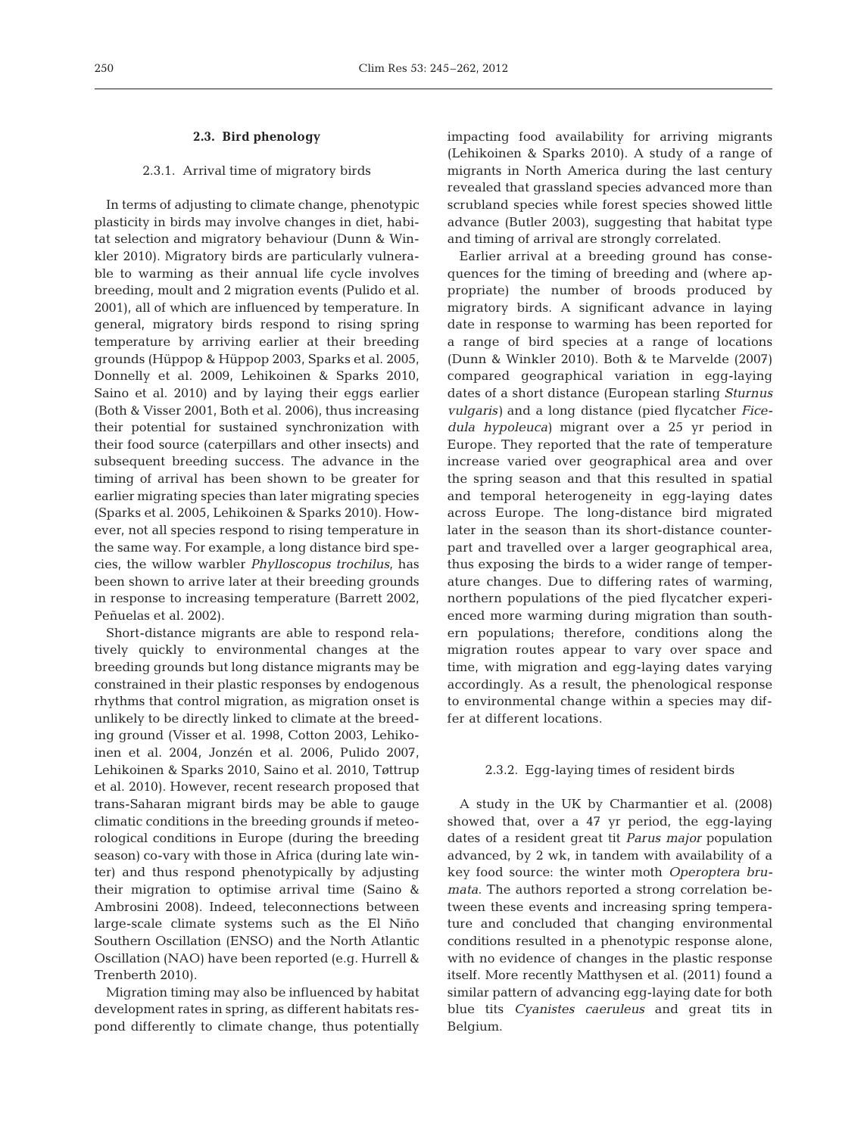#### **2.3. Bird phenology**

## 2.3.1. Arrival time of migratory birds

In terms of adjusting to climate change, phenotypic plasticity in birds may involve changes in diet, habitat selection and migratory behaviour (Dunn & Winkler 2010). Migratory birds are particularly vulnerable to warming as their annual life cycle involves breeding, moult and 2 migration events (Pulido et al. 2001), all of which are influenced by temperature. In general, migratory birds respond to rising spring temperature by arriving earlier at their breeding grounds (Hüppop & Hüppop 2003, Sparks et al. 2005, Donnelly et al. 2009, Lehikoinen & Sparks 2010, Saino et al. 2010) and by laying their eggs earlier (Both & Visser 2001, Both et al. 2006), thus increasing their potential for sustained synchronization with their food source (caterpillars and other insects) and subsequent breeding success. The advance in the timing of arrival has been shown to be greater for earlier migrating species than later migrating species (Sparks et al. 2005, Lehikoinen & Sparks 2010). However, not all species respond to rising temperature in the same way. For example, a long distance bird species, the willow warbler *Phylloscopus trochilus*, has been shown to arrive later at their breeding grounds in response to increasing temperature (Barrett 2002, Peñuelas et al. 2002).

Short-distance migrants are able to respond relatively quickly to environmental changes at the breeding grounds but long distance migrants may be constrained in their plastic responses by endogenous rhythms that control migration, as migration onset is unlikely to be directly linked to climate at the breeding ground (Visser et al. 1998, Cotton 2003, Lehikoinen et al. 2004, Jonzén et al. 2006, Pulido 2007, Lehikoinen & Sparks 2010, Saino et al. 2010, Tøttrup et al. 2010). However, recent research proposed that trans-Saharan migrant birds may be able to gauge climatic conditions in the breeding grounds if meteorological conditions in Europe (during the breeding season) co-vary with those in Africa (during late winter) and thus respond phenotypically by adjusting their migration to optimise arrival time (Saino & Ambrosini 2008). Indeed, teleconnections between large-scale climate systems such as the El Niño Southern Oscillation (ENSO) and the North Atlantic Oscillation (NAO) have been reported (e.g. Hurrell & Trenberth 2010).

Migration timing may also be influenced by habitat development rates in spring, as different habitats respond differently to climate change, thus potentially

impacting food availability for arriving migrants (Lehikoinen & Sparks 2010). A study of a range of migrants in North America during the last century revealed that grassland species advanced more than scrubland species while forest species showed little advance (Butler 2003), suggesting that habitat type and timing of arrival are strongly correlated.

Earlier arrival at a breeding ground has consequences for the timing of breeding and (where appropriate) the number of broods produced by migratory birds. A significant advance in laying date in response to warming has been reported for a range of bird species at a range of locations (Dunn & Winkler 2010). Both & te Marvelde (2007) compared geographical variation in egg-laying dates of a short distance (European starling *Sturnus vulgaris)* and a long distance (pied flycatcher *Fice dula hypoleuca)* migrant over a 25 yr period in Europe. They reported that the rate of temperature increase varied over geographical area and over the spring season and that this resulted in spatial and temporal heterogeneity in egg-laying dates across Europe. The long-distance bird migrated later in the season than its short-distance counterpart and travelled over a larger geographical area, thus exposing the birds to a wider range of temperature changes. Due to differing rates of warming, northern populations of the pied flycatcher experienced more warming during migration than southern populations; therefore, conditions along the migration routes appear to vary over space and time, with migration and egg-laying dates varying accordingly. As a result, the phenological response to environmental change within a species may differ at different locations.

### 2.3.2. Egg-laying times of resident birds

A study in the UK by Charmantier et al. (2008) showed that, over a 47 yr period, the egg-laying dates of a resident great tit *Parus major* population advanced, by 2 wk, in tandem with availability of a key food source: the winter moth *Operoptera brumata*. The authors reported a strong correlation between these events and increasing spring temperature and concluded that changing environmental conditions resulted in a phenotypic response alone, with no evidence of changes in the plastic response itself. More recently Matthysen et al. (2011) found a similar pattern of advancing egg-laying date for both blue tits *Cyanistes caeruleus* and great tits in Belgium.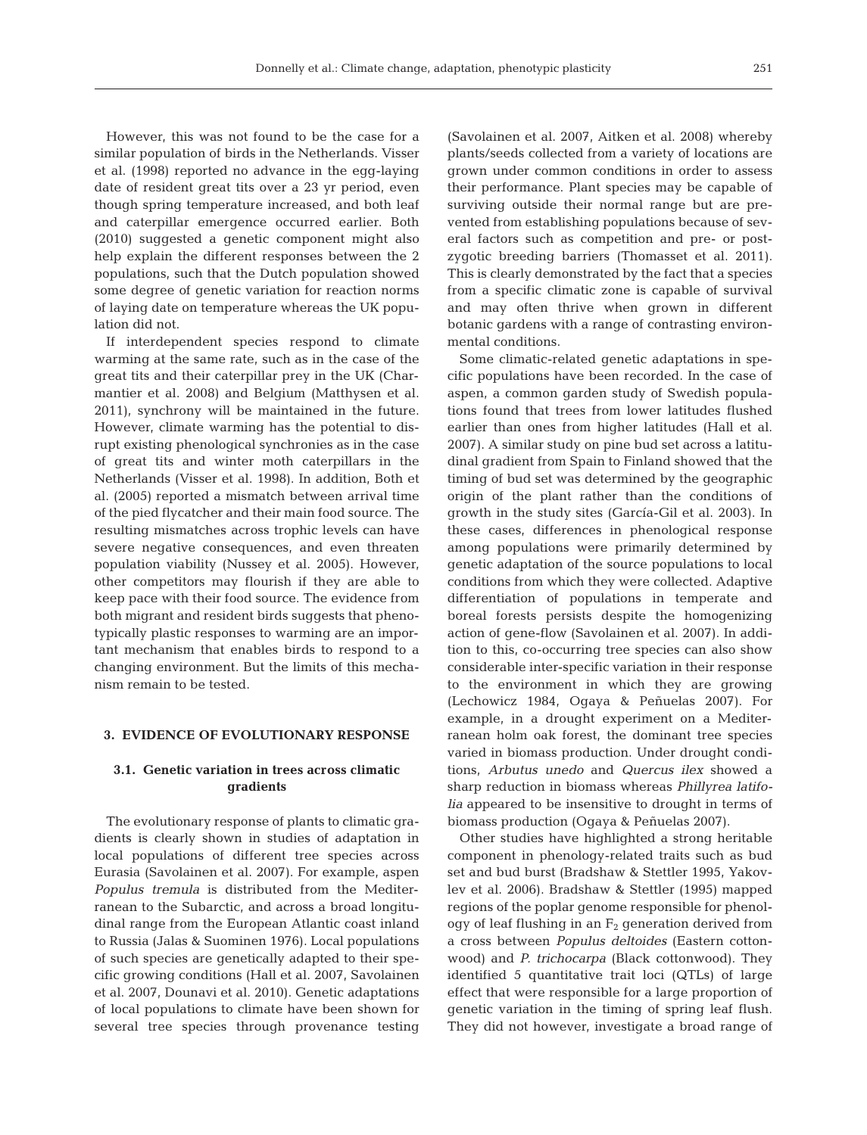However, this was not found to be the case for a similar population of birds in the Netherlands. Visser et al. (1998) reported no advance in the egg-laying date of resident great tits over a 23 yr period, even though spring temperature increased, and both leaf and caterpillar emergence occurred earlier. Both (2010) suggested a genetic component might also help explain the different responses between the 2 populations, such that the Dutch population showed some degree of genetic variation for reaction norms of laying date on temperature whereas the UK population did not.

If interdependent species respond to climate warming at the same rate, such as in the case of the great tits and their caterpillar prey in the UK (Charmantier et al. 2008) and Belgium (Matthysen et al. 2011), synchrony will be maintained in the future. However, climate warming has the potential to disrupt existing phenological synchronies as in the case of great tits and winter moth caterpillars in the Netherlands (Visser et al. 1998). In addition, Both et al. (2005) reported a mismatch between arrival time of the pied flycatcher and their main food source. The resulting mismatches across trophic levels can have severe negative consequences, and even threaten population viability (Nussey et al. 2005). However, other competitors may flourish if they are able to keep pace with their food source. The evidence from both migrant and resident birds suggests that phenotypically plastic responses to warming are an important mechanism that enables birds to respond to a changing environment. But the limits of this mechanism remain to be tested.

#### **3. EVIDENCE OF EVOLUTIONARY RESPONSE**

## **3.1. Genetic variation in trees across climatic gradients**

The evolutionary response of plants to climatic gradients is clearly shown in studies of adaptation in local populations of different tree species across Eurasia (Savolainen et al. 2007). For example, aspen *Populus tremula* is distributed from the Mediterranean to the Subarctic, and across a broad longitudinal range from the European Atlantic coast inland to Russia (Jalas & Suominen 1976). Local populations of such species are genetically adapted to their specific growing conditions (Hall et al. 2007, Savolainen et al. 2007, Dounavi et al. 2010). Genetic adaptations of local populations to climate have been shown for several tree species through provenance testing

(Savolainen et al. 2007, Aitken et al. 2008) whereby plants/seeds collected from a variety of locations are grown under common conditions in order to assess their performance. Plant species may be capable of surviving outside their normal range but are prevented from establishing populations because of several factors such as competition and pre- or postzygotic breeding barriers (Thomasset et al. 2011). This is clearly demonstrated by the fact that a species from a specific climatic zone is capable of survival and may often thrive when grown in different botanic gardens with a range of contrasting environmental conditions.

Some climatic-related genetic adaptations in specific populations have been recorded. In the case of aspen, a common garden study of Swedish populations found that trees from lower latitudes flushed earlier than ones from higher latitudes (Hall et al. 2007). A similar study on pine bud set across a latitudinal gradient from Spain to Finland showed that the timing of bud set was determined by the geographic origin of the plant rather than the conditions of growth in the study sites (García-Gil et al. 2003). In these cases, differences in phenological response among populations were primarily determined by genetic adaptation of the source populations to local conditions from which they were collected. Adaptive differentiation of populations in temperate and boreal forests persists despite the homogenizing action of gene-flow (Savolainen et al. 2007). In addition to this, co-occurring tree species can also show considerable inter-specific variation in their response to the environment in which they are growing (Lechowicz 1984, Ogaya & Peñuelas 2007). For example, in a drought experiment on a Mediterranean holm oak forest, the dominant tree species varied in biomass production. Under drought conditions, *Arbutus unedo* and *Quercus ilex* showed a sharp reduction in biomass whereas *Phillyrea latifolia* appeared to be insensitive to drought in terms of biomass production (Ogaya & Peñuelas 2007).

Other studies have highlighted a strong heritable component in phenology-related traits such as bud set and bud burst (Bradshaw & Stettler 1995, Yakov lev et al. 2006). Bradshaw & Stettler (1995) mapped regions of the poplar genome responsible for phenology of leaf flushing in an  $F_2$  generation derived from a cross between *Populus deltoides* (Eastern cottonwood) and *P. trichocarpa* (Black cottonwood). They identified 5 quantitative trait loci (QTLs) of large effect that were responsible for a large proportion of genetic variation in the timing of spring leaf flush. They did not however, investigate a broad range of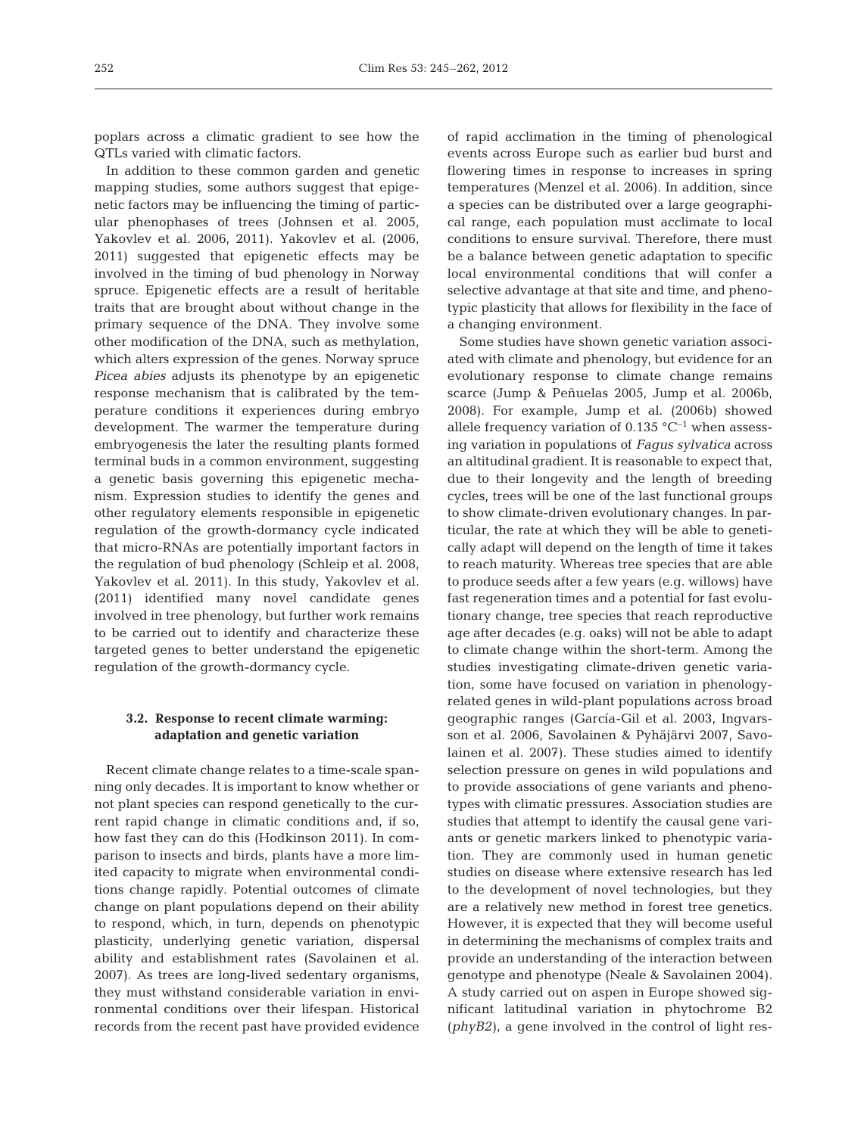poplars across a climatic gradient to see how the QTLs varied with climatic factors.

In addition to these common garden and genetic mapping studies, some authors suggest that epigenetic factors may be influencing the timing of particular phenophases of trees (Johnsen et al. 2005, Yakovlev et al. 2006, 2011). Yakovlev et al. (2006, 2011) suggested that epigenetic effects may be involved in the timing of bud phenology in Norway spruce. Epigenetic effects are a result of heritable traits that are brought about without change in the primary sequence of the DNA. They involve some other modification of the DNA, such as methylation, which alters expression of the genes. Norway spruce *Picea abies* adjusts its phenotype by an epigenetic response mechanism that is calibrated by the temperature conditions it experiences during embryo development. The warmer the temperature during embryogenesis the later the resulting plants formed terminal buds in a common environment, suggesting a genetic basis governing this epigenetic mechanism. Expression studies to identify the genes and other regulatory elements responsible in epigenetic regulation of the growth-dormancy cycle indicated that micro-RNAs are potentially important factors in the regulation of bud phenology (Schleip et al. 2008, Yakovlev et al. 2011). In this study, Yakovlev et al. (2011) identified many novel candidate genes involved in tree phenology, but further work remains to be carried out to identify and characterize these targeted genes to better understand the epigenetic regulation of the growth-dormancy cycle.

## **3.2. Response to recent climate warming: adaptation and genetic variation**

Recent climate change relates to a time-scale spanning only decades. It is important to know whether or not plant species can respond genetically to the current rapid change in climatic conditions and, if so, how fast they can do this (Hodkinson 2011). In comparison to insects and birds, plants have a more limited capacity to migrate when environmental conditions change rapidly. Potential outcomes of climate change on plant populations depend on their ability to respond, which, in turn, depends on phenotypic plasticity, underlying genetic variation, dispersal ability and establishment rates (Savolainen et al. 2007). As trees are long-lived sedentary organisms, they must withstand considerable variation in environmental conditions over their lifespan. Historical records from the recent past have provided evidence

of rapid acclimation in the timing of phenological events across Europe such as earlier bud burst and flowering times in response to increases in spring temperatures (Menzel et al. 2006). In addition, since a species can be distributed over a large geographical range, each population must acclimate to local conditions to ensure survival. Therefore, there must be a balance between genetic adaptation to specific local environmental conditions that will confer a selective advantage at that site and time, and phenotypic plasticity that allows for flexibility in the face of a changing environment.

Some studies have shown genetic variation associated with climate and phenology, but evidence for an evolutionary response to climate change remains scarce (Jump & Peñuelas 2005, Jump et al. 2006b, 2008). For example, Jump et al. (2006b) showed allele frequency variation of 0.135  $^{\circ}$ C<sup>-1</sup> when assessing variation in populations of *Fagus sylvatica* across an altitudinal gradient. It is reasonable to expect that, due to their longevity and the length of breeding cycles, trees will be one of the last functional groups to show climate-driven evolutionary changes. In particular, the rate at which they will be able to genetically adapt will depend on the length of time it takes to reach maturity. Whereas tree species that are able to produce seeds after a few years (e.g. willows) have fast regeneration times and a potential for fast evolutionary change, tree species that reach reproductive age after decades (e.g. oaks) will not be able to adapt to climate change within the short-term. Among the studies investigating climate-driven genetic variation, some have focused on variation in phenologyrelated genes in wild-plant populations across broad geographic ranges (García-Gil et al. 2003, Ingvars son et al. 2006, Savolainen & Pyhäjärvi 2007, Savo lainen et al. 2007). These studies aimed to identify selection pressure on genes in wild populations and to provide associations of gene variants and phenotypes with climatic pressures. Association studies are studies that attempt to identify the causal gene variants or genetic markers linked to phenotypic variation. They are commonly used in human genetic studies on disease where extensive research has led to the development of novel technologies, but they are a relatively new method in forest tree genetics. However, it is expected that they will become useful in determining the mechanisms of complex traits and provide an understanding of the interaction between genotype and phenotype (Neale & Savolainen 2004). A study carried out on aspen in Europe showed significant latitudinal variation in phytochrome B2 (*phyB2*), a gene involved in the control of light res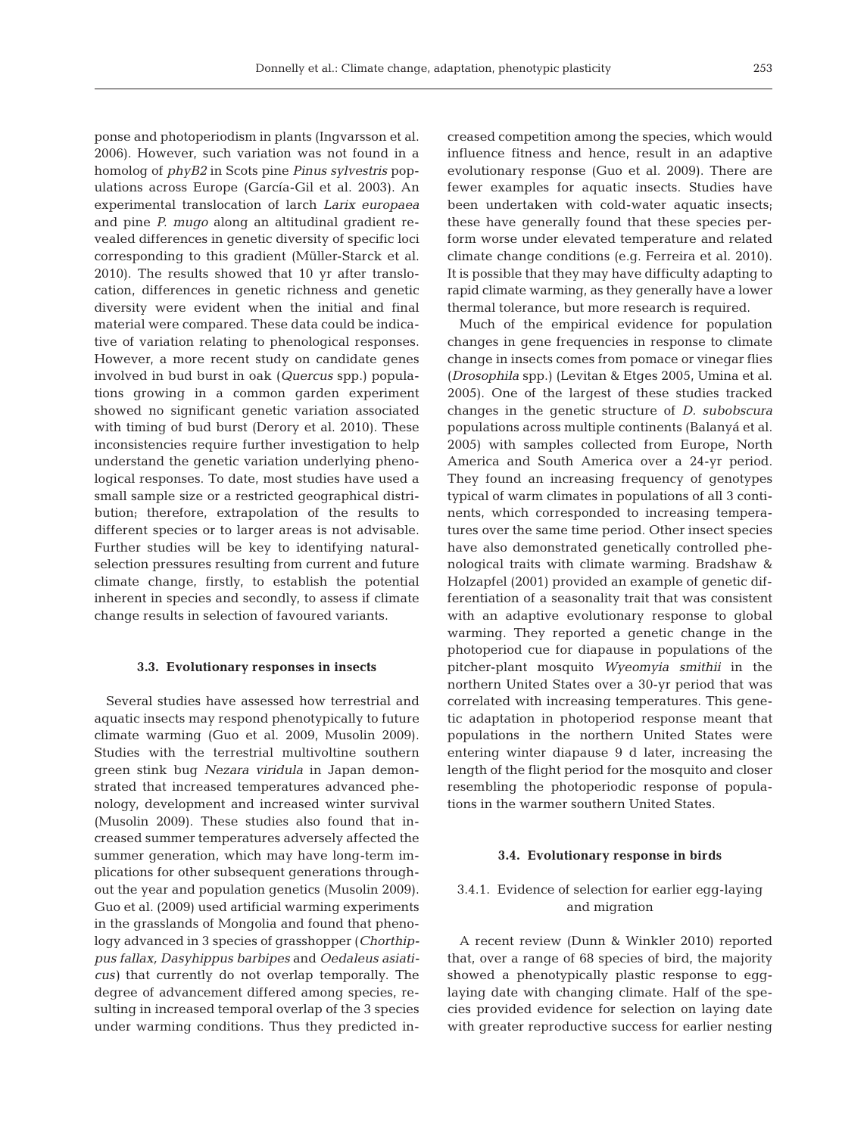ponse and photoperiodism in plants (Ingvarsson et al. 2006). However, such variation was not found in a homolog of *phyB2* in Scots pine *Pinus sylvestris* populations across Europe (García-Gil et al. 2003). An experimental translocation of larch *Larix europaea* and pine *P. mugo* along an altitudinal gradient revealed differences in genetic diversity of specific loci corresponding to this gradient (Müller-Starck et al. 2010). The results showed that 10 yr after translocation, differences in genetic richness and genetic diversity were evident when the initial and final material were compared. These data could be indicative of variation relating to phenological responses. However, a more recent study on candidate genes involved in bud burst in oak (*Quercus* spp.) populations growing in a common garden experiment showed no significant genetic variation associated with timing of bud burst (Derory et al. 2010). These inconsistencies require further investigation to help understand the genetic variation underlying phenological responses. To date, most studies have used a small sample size or a restricted geographical distribution; therefore, extrapolation of the results to different species or to larger areas is not advisable. Further studies will be key to identifying naturalselection pressures resulting from current and future climate change, firstly, to establish the potential inherent in species and secondly, to assess if climate change results in selection of favoured variants.

#### **3.3. Evolutionary responses in insects**

Several studies have assessed how terrestrial and aquatic insects may respond phenotypically to future climate warming (Guo et al. 2009, Musolin 2009). Studies with the terrestrial multivoltine southern green stink bug *Nezara viridula* in Japan demonstrated that increased temperatures advanced phenology, development and increased winter survival (Musolin 2009). These studies also found that increased summer temperatures adversely affected the summer generation, which may have long-term implications for other subsequent generations throughout the year and population genetics (Musolin 2009). Guo et al. (2009) used artificial warming experiments in the grasslands of Mongolia and found that phenology advanced in 3 species of grasshopper (*Chorthippus fallax, Dasyhippus barbipes* and *Oeda leus asiaticus)* that currently do not overlap temporally. The degree of advancement differed among species, re sulting in increased temporal overlap of the 3 species under warming conditions. Thus they predicted in -

creased competition among the species, which would influence fitness and hence, result in an adaptive evolutionary response (Guo et al. 2009). There are fewer examples for aquatic insects. Studies have been undertaken with cold-water aquatic insects; these have generally found that these species perform worse under elevated temperature and related climate change conditions (e.g. Ferreira et al. 2010). It is possible that they may have difficulty adapting to rapid climate warming, as they generally have a lower thermal tolerance, but more research is required.

Much of the empirical evidence for population changes in gene frequencies in response to climate change in insects comes from pomace or vinegar flies (*Drosophila* spp.) (Levitan & Etges 2005, Umina et al. 2005). One of the largest of these studies tracked changes in the genetic structure of *D. subobscura* populations across multiple continents (Balanyá et al. 2005) with samples collected from Europe, North America and South America over a 24-yr period. They found an increasing frequency of genotypes typical of warm climates in populations of all 3 continents, which corresponded to increasing temperatures over the same time period. Other insect species have also demonstrated genetically controlled phenological traits with climate warming. Bradshaw & Holzapfel (2001) provided an example of genetic differentiation of a seasonality trait that was consistent with an adaptive evolutionary response to global warming. They reported a genetic change in the photoperiod cue for diapause in populations of the pitcher-plant mosquito *Wyeomyia smithii* in the northern United States over a 30-yr period that was correlated with increasing temperatures. This genetic adaptation in photoperiod response meant that populations in the northern United States were entering winter diapause 9 d later, increasing the length of the flight period for the mosquito and closer resembling the photoperiodic response of populations in the warmer southern United States.

#### **3.4. Evolutionary response in birds**

# 3.4.1. Evidence of selection for earlier egg-laying and migration

A recent review (Dunn & Winkler 2010) reported that, over a range of 68 species of bird, the majority showed a phenotypically plastic response to egglaying date with changing climate. Half of the species provided evidence for selection on laying date with greater reproductive success for earlier nesting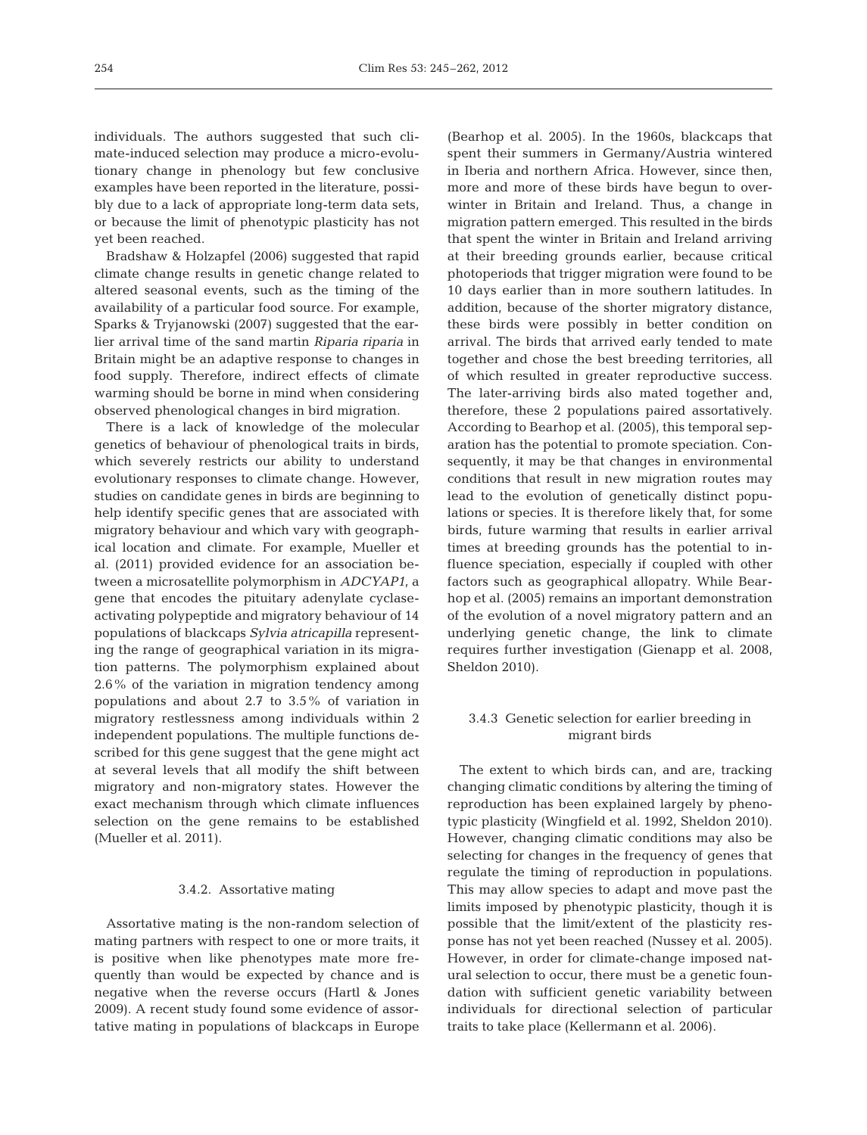individuals. The authors suggested that such climate-induced selection may produce a micro-evolutionary change in phenology but few conclusive examples have been reported in the literature, possibly due to a lack of appropriate long-term data sets, or because the limit of phenotypic plasticity has not yet been reached.

Bradshaw & Holzapfel (2006) suggested that rapid climate change results in genetic change related to altered seasonal events, such as the timing of the availability of a particular food source. For example, Sparks & Tryjanowski (2007) suggested that the earlier arrival time of the sand martin *Riparia riparia* in Britain might be an adaptive response to changes in food supply. Therefore, indirect effects of climate warming should be borne in mind when considering observed phenological changes in bird migration.

There is a lack of knowledge of the molecular genetics of behaviour of phenological traits in birds, which severely restricts our ability to understand evolutionary responses to climate change. However, studies on candidate genes in birds are beginning to help identify specific genes that are associated with migratory behaviour and which vary with geographical location and climate. For example, Mueller et al. (2011) provided evidence for an association be tween a microsatellite polymorphism in *ADCYAP1*, a gene that encodes the pituitary adenylate cyclaseactivating polypeptide and migratory behaviour of 14 populations of blackcaps *Sylvia atricapilla* representing the range of geographical variation in its migration patterns. The polymorphism explained about 2.6% of the variation in migration tendency among populations and about 2.7 to 3.5% of variation in migratory restlessness among individuals within 2 independent populations. The multiple functions de scribed for this gene suggest that the gene might act at several levels that all modify the shift between migratory and non-migratory states. However the exact mechanism through which climate influences selection on the gene remains to be established (Mueller et al. 2011).

## 3.4.2. Assortative mating

Assortative mating is the non-random selection of mating partners with respect to one or more traits, it is positive when like phenotypes mate more frequently than would be expected by chance and is negative when the reverse occurs (Hartl & Jones 2009). A recent study found some evidence of assortative mating in populations of blackcaps in Europe

(Bearhop et al. 2005). In the 1960s, blackcaps that spent their summers in Germany/Austria wintered in Iberia and northern Africa. However, since then, more and more of these birds have begun to overwinter in Britain and Ireland. Thus, a change in migration pattern emerged. This resulted in the birds that spent the winter in Britain and Ireland arriving at their breeding grounds earlier, because critical photoperiods that trigger migration were found to be 10 days earlier than in more southern latitudes. In addition, because of the shorter migratory distance, these birds were possibly in better condition on arrival. The birds that arrived early tended to mate together and chose the best breeding territories, all of which resulted in greater reproductive success. The later-arriving birds also mated together and, therefore, these 2 populations paired assortatively. According to Bearhop et al. (2005), this temporal separation has the potential to promote speciation. Consequently, it may be that changes in environmental conditions that result in new migration routes may lead to the evolution of genetically distinct populations or species. It is therefore likely that, for some birds, future warming that results in earlier arrival times at breeding grounds has the potential to influence speciation, especially if coupled with other factors such as geographical allopatry. While Bearhop et al. (2005) remains an important demonstration of the evolution of a novel migratory pattern and an underlying genetic change, the link to climate requires further investigation (Gienapp et al. 2008, Sheldon 2010).

# 3.4.3 Genetic selection for earlier breeding in migrant birds

The extent to which birds can, and are, tracking changing climatic conditions by altering the timing of reproduction has been explained largely by phenotypic plasticity (Wingfield et al. 1992, Sheldon 2010). However, changing climatic conditions may also be selecting for changes in the frequency of genes that regulate the timing of reproduction in populations. This may allow species to adapt and move past the limits imposed by phenotypic plasticity, though it is possible that the limit/extent of the plasticity response has not yet been reached (Nussey et al. 2005). However, in order for climate-change imposed natural selection to occur, there must be a genetic foundation with sufficient genetic variability between individuals for directional selection of particular traits to take place (Kellermann et al. 2006).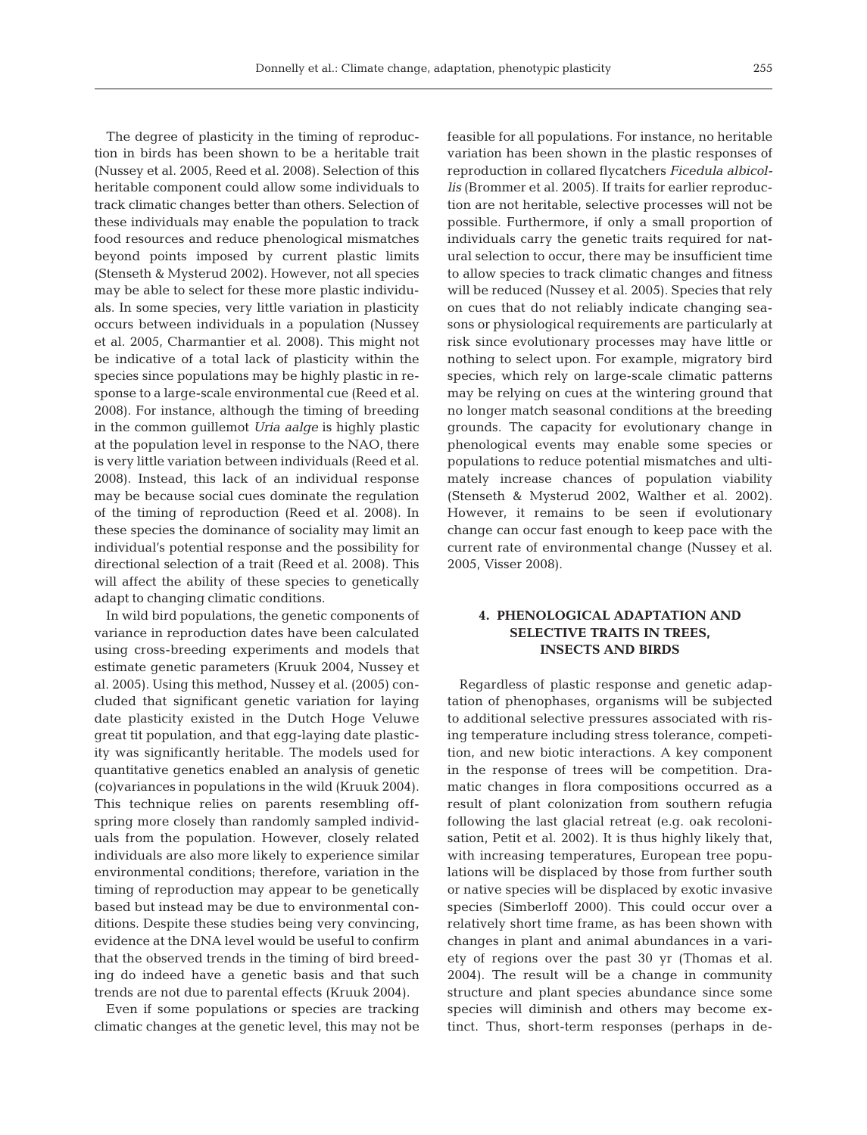The degree of plasticity in the timing of reproduction in birds has been shown to be a heritable trait (Nussey et al. 2005, Reed et al. 2008). Selection of this heritable component could allow some individuals to track climatic changes better than others. Selection of these individuals may enable the population to track food resources and reduce phenological mismatches beyond points imposed by current plastic limits (Stenseth & Mysterud 2002). However, not all species may be able to select for these more plastic individuals. In some species, very little variation in plasticity occurs between individuals in a population (Nussey et al. 2005, Charmantier et al. 2008). This might not be indicative of a total lack of plasticity within the species since populations may be highly plastic in response to a large-scale environmental cue (Reed et al. 2008). For instance, although the timing of breeding in the common guillemot *Uria aalge* is highly plastic at the population level in response to the NAO, there is very little variation between individuals (Reed et al. 2008). Instead, this lack of an individual response may be because social cues dominate the regulation of the timing of reproduction (Reed et al. 2008). In these species the dominance of sociality may limit an individual's potential response and the possibility for directional selection of a trait (Reed et al. 2008). This will affect the ability of these species to genetically adapt to changing climatic conditions.

In wild bird populations, the genetic components of variance in reproduction dates have been calculated using cross-breeding experiments and models that estimate genetic parameters (Kruuk 2004, Nussey et al. 2005). Using this method, Nussey et al. (2005) concluded that significant genetic variation for laying date plasticity existed in the Dutch Hoge Veluwe great tit population, and that egg-laying date plasticity was significantly heritable. The models used for quantitative genetics enabled an analysis of genetic (co)variances in populations in the wild (Kruuk 2004). This technique relies on parents resembling offspring more closely than randomly sampled individuals from the population. However, closely related individuals are also more likely to experience similar environmental conditions; therefore, variation in the timing of reproduction may appear to be genetically based but instead may be due to environmental conditions. Despite these studies being very convincing, evidence at the DNA level would be useful to confirm that the observed trends in the timing of bird breeding do indeed have a genetic basis and that such trends are not due to parental effects (Kruuk 2004).

Even if some populations or species are tracking climatic changes at the genetic level, this may not be feasible for all populations. For instance, no heritable variation has been shown in the plastic responses of reproduction in collared flycatchers *Ficedula albicollis* (Brommer et al. 2005). If traits for earlier reproduction are not heritable, selective processes will not be possible. Furthermore, if only a small proportion of individuals carry the genetic traits required for natural selection to occur, there may be insufficient time to allow species to track climatic changes and fitness will be reduced (Nussey et al. 2005). Species that rely on cues that do not reliably indicate changing seasons or physiological requirements are particularly at risk since evolutionary processes may have little or nothing to select upon. For example, migratory bird species, which rely on large-scale climatic patterns may be relying on cues at the wintering ground that no longer match seasonal conditions at the breeding grounds. The capacity for evolutionary change in phenological events may enable some species or populations to reduce potential mismatches and ultimately increase chances of population viability (Stenseth & Mysterud 2002, Walther et al. 2002). However, it remains to be seen if evolutionary change can occur fast enough to keep pace with the current rate of environmental change (Nussey et al. 2005, Visser 2008).

# **4. PHENOLOGICAL ADAPTATION AND SELECTIVE TRAITS IN TREES, INSECTS AND BIRDS**

Regardless of plastic response and genetic adaptation of phenophases, organisms will be subjected to additional selective pressures associated with rising temperature including stress tolerance, competition, and new biotic interactions. A key component in the response of trees will be competition. Dramatic changes in flora compositions occurred as a result of plant colonization from southern refugia following the last glacial retreat (e.g. oak recolonisation, Petit et al. 2002). It is thus highly likely that, with increasing temperatures, European tree populations will be displaced by those from further south or native species will be displaced by exotic invasive species (Simberloff 2000). This could occur over a relatively short time frame, as has been shown with changes in plant and animal abundances in a variety of regions over the past 30 yr (Thomas et al. 2004). The result will be a change in community structure and plant species abundance since some species will diminish and others may become extinct. Thus, short-term responses (perhaps in de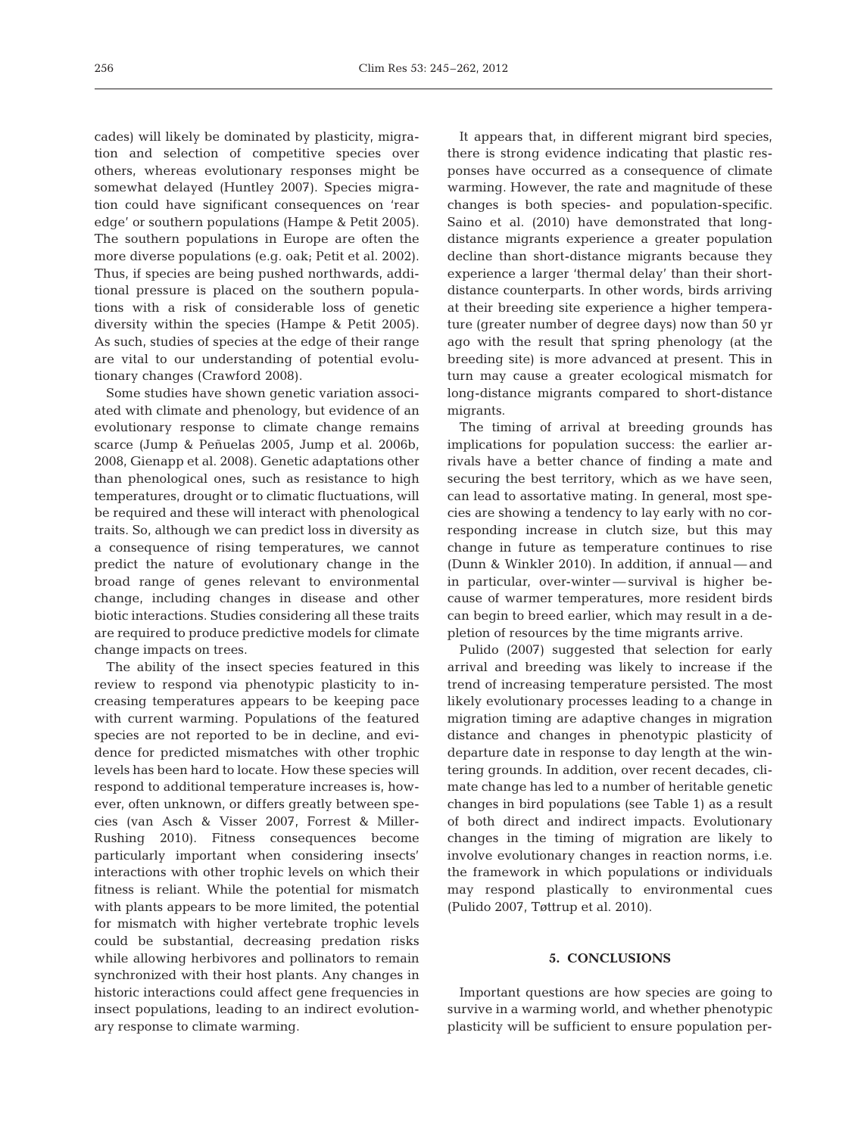cades) will likely be dominated by plasticity, migration and selection of competitive species over others, whereas evolutionary responses might be somewhat delayed (Huntley 2007). Species migration could have significant consequences on 'rear edge' or southern populations (Hampe & Petit 2005). The southern populations in Europe are often the more diverse populations (e.g. oak; Petit et al. 2002). Thus, if species are being pushed northwards, additional pressure is placed on the southern populations with a risk of considerable loss of genetic diversity within the species (Hampe & Petit 2005). As such, studies of species at the edge of their range are vital to our understanding of potential evolutionary changes (Crawford 2008).

Some studies have shown genetic variation associated with climate and phenology, but evidence of an evolutionary response to climate change remains scarce (Jump & Peñuelas 2005, Jump et al. 2006b, 2008, Gienapp et al. 2008). Genetic adaptations other than phenological ones, such as resistance to high temperatures, drought or to climatic fluctuations, will be required and these will interact with phenological traits. So, although we can predict loss in diversity as a consequence of rising temperatures, we cannot predict the nature of evolutionary change in the broad range of genes relevant to environmental change, including changes in disease and other biotic interactions. Studies considering all these traits are required to produce predictive models for climate change impacts on trees.

The ability of the insect species featured in this review to respond via phenotypic plasticity to in creasing temperatures appears to be keeping pace with current warming. Populations of the featured species are not reported to be in decline, and evidence for predicted mismatches with other trophic levels has been hard to locate. How these species will respond to additional temperature increases is, however, often unknown, or differs greatly between species (van Asch & Visser 2007, Forrest & Miller-Rushing 2010). Fitness consequences become particularly important when considering insects' interactions with other trophic levels on which their fitness is reliant. While the potential for mismatch with plants appears to be more limited, the potential for mismatch with higher vertebrate trophic levels could be substantial, decreasing predation risks while allowing herbivores and pollinators to remain synchronized with their host plants. Any changes in historic interactions could affect gene frequencies in insect populations, leading to an indirect evolutionary response to climate warming.

It appears that, in different migrant bird species, there is strong evidence indicating that plastic responses have occurred as a consequence of climate warming. However, the rate and magnitude of these changes is both species- and population-specific. Saino et al. (2010) have demonstrated that longdistance migrants experience a greater population decline than short-distance migrants because they experience a larger 'thermal delay' than their shortdistance counterparts. In other words, birds arriving at their breeding site experience a higher temperature (greater number of degree days) now than 50 yr ago with the result that spring phenology (at the breeding site) is more advanced at present. This in turn may cause a greater ecological mismatch for long-distance migrants compared to short-distance migrants.

The timing of arrival at breeding grounds has implications for population success: the earlier arrivals have a better chance of finding a mate and securing the best territory, which as we have seen, can lead to assortative mating. In general, most species are showing a tendency to lay early with no corresponding increase in clutch size, but this may change in future as temperature continues to rise (Dunn & Winkler 2010). In addition, if annual — and in particular, over-winter — survival is higher because of warmer temperatures, more resident birds can begin to breed earlier, which may result in a de pletion of resources by the time migrants arrive.

Pulido (2007) suggested that selection for early arrival and breeding was likely to increase if the trend of increasing temperature persisted. The most likely evolutionary processes leading to a change in migration timing are adaptive changes in migration distance and changes in phenotypic plasticity of departure date in response to day length at the wintering grounds. In addition, over recent decades, climate change has led to a number of heritable genetic changes in bird populations (see Table 1) as a result of both direct and indirect impacts. Evolutionary changes in the timing of migration are likely to involve evolutionary changes in reaction norms, i.e. the framework in which populations or individuals may respond plastically to environmental cues (Pulido 2007, Tøttrup et al. 2010).

## **5. CONCLUSIONS**

Important questions are how species are going to survive in a warming world, and whether phenotypic plasticity will be sufficient to ensure population per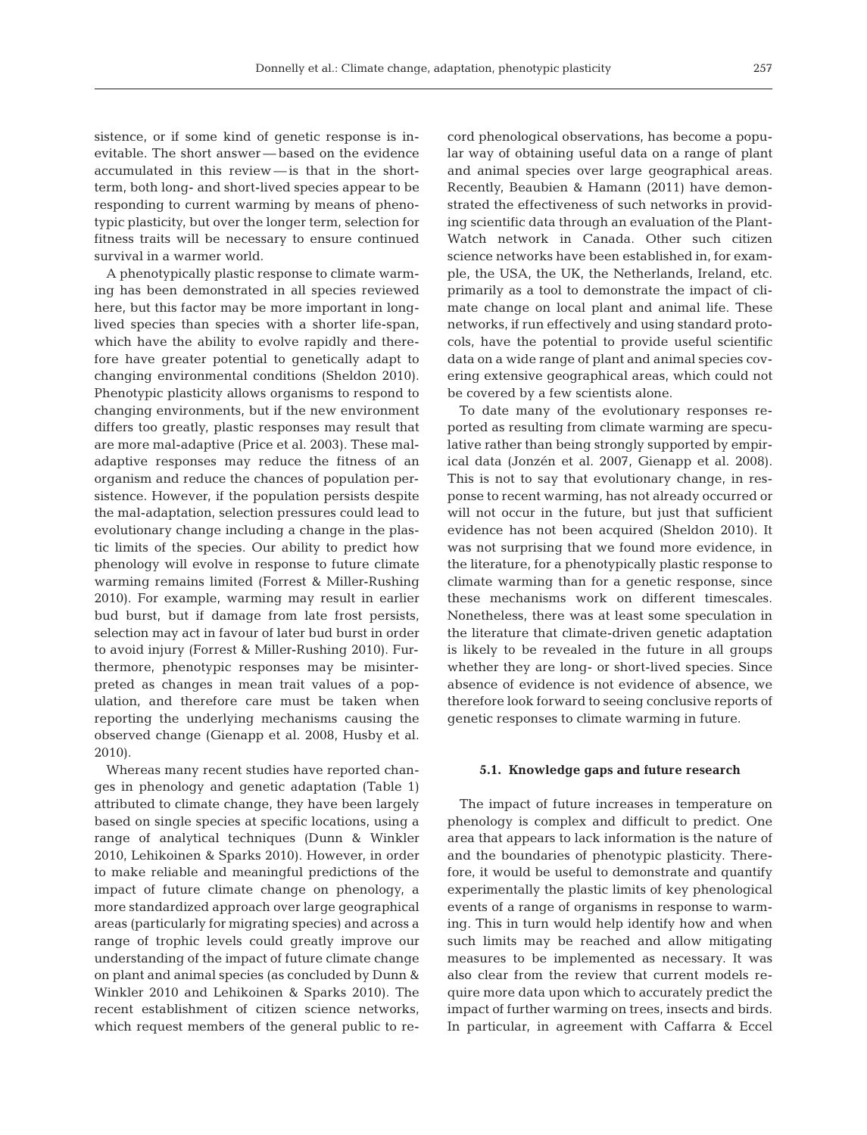sistence, or if some kind of genetic response is inevitable. The short answer — based on the evidence accumulated in this review — is that in the shortterm, both long- and short-lived species appear to be responding to current warming by means of phenotypic plasticity, but over the longer term, selection for fitness traits will be necessary to ensure continued survival in a warmer world.

A phenotypically plastic response to climate warming has been demonstrated in all species reviewed here, but this factor may be more important in longlived species than species with a shorter life-span, which have the ability to evolve rapidly and therefore have greater potential to genetically adapt to changing environmental conditions (Sheldon 2010). Phenotypic plasticity allows organisms to respond to changing environments, but if the new environment differs too greatly, plastic responses may result that are more mal-adaptive (Price et al. 2003). These maladaptive responses may reduce the fitness of an organism and reduce the chances of population persistence. However, if the population persists despite the mal- adaptation, selection pressures could lead to evolutionary change including a change in the plastic limits of the species. Our ability to predict how phenology will evolve in response to future climate warming remains limited (Forrest & Miller-Rushing 2010). For example, warming may result in earlier bud burst, but if damage from late frost persists, selection may act in favour of later bud burst in order to avoid injury (Forrest & Miller-Rushing 2010). Furthermore, phenotypic responses may be misinterpreted as changes in mean trait values of a population, and therefore care must be taken when re porting the underlying mechanisms causing the ob served change (Gienapp et al. 2008, Husby et al. 2010).

Whereas many recent studies have reported changes in phenology and genetic adaptation (Table 1) attributed to climate change, they have been largely based on single species at specific locations, using a range of analytical techniques (Dunn & Winkler 2010, Lehikoinen & Sparks 2010). However, in order to make reliable and meaningful predictions of the impact of future climate change on phenology, a more standardized approach over large geographical areas (particularly for migrating species) and across a range of trophic levels could greatly improve our understanding of the impact of future climate change on plant and animal species (as concluded by Dunn & Winkler 2010 and Lehikoinen & Sparks 2010). The re cent establishment of citizen science networks, which request members of the general public to record phenological observations, has become a popular way of obtaining useful data on a range of plant and animal species over large geographical areas. Recently, Beaubien & Hamann (2011) have demonstrated the effectiveness of such networks in providing scientific data through an evaluation of the Plant-Watch network in Canada. Other such citizen science networks have been established in, for example, the USA, the UK, the Netherlands, Ireland, etc. primarily as a tool to demonstrate the impact of climate change on local plant and animal life. These networks, if run effectively and using standard protocols, have the potential to provide useful scientific data on a wide range of plant and animal species covering extensive geographical areas, which could not be covered by a few scientists alone.

To date many of the evolutionary responses re ported as resulting from climate warming are speculative rather than being strongly supported by empirical data (Jonzén et al. 2007, Gienapp et al. 2008). This is not to say that evolutionary change, in response to recent warming, has not already oc curred or will not occur in the future, but just that sufficient evidence has not been acquired (Sheldon 2010). It was not surprising that we found more evidence, in the literature, for a phenotypically plastic response to climate warming than for a genetic response, since these mechanisms work on different timescales. Nonetheless, there was at least some speculation in the literature that climate-driven genetic adaptation is likely to be revealed in the future in all groups whether they are long- or short-lived species. Since absence of evidence is not evidence of absence, we therefore look forward to seeing conclusive reports of genetic responses to climate warming in future.

#### **5.1. Knowledge gaps and future research**

The impact of future increases in temperature on phenology is complex and difficult to predict. One area that appears to lack information is the nature of and the boundaries of phenotypic plasticity. Therefore, it would be useful to demonstrate and quantify experimentally the plastic limits of key phenological events of a range of organisms in response to warming. This in turn would help identify how and when such limits may be reached and allow mitigating measures to be implemented as necessary. It was also clear from the review that current models require more data upon which to accurately predict the impact of further warming on trees, insects and birds. In particular, in agreement with Caffarra & Eccel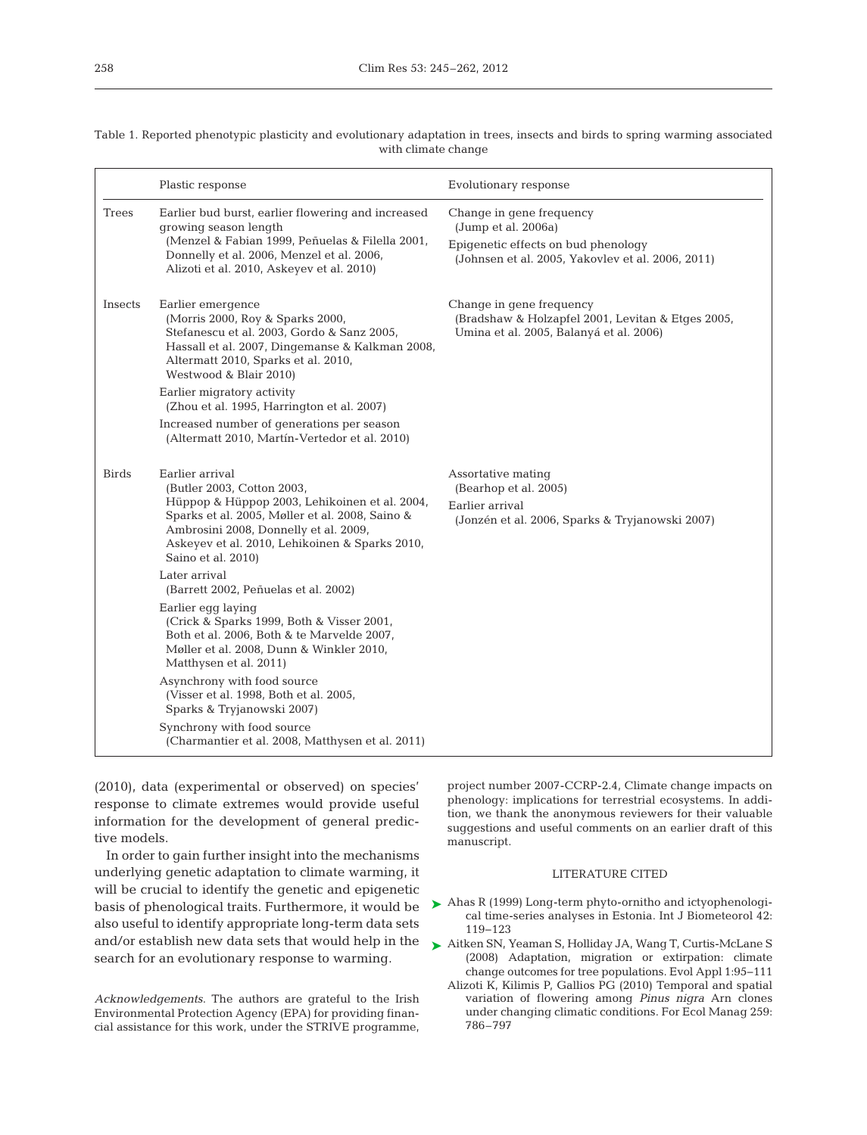| Table 1. Reported phenotypic plasticity and evolutionary adaptation in trees, insects and birds to spring warming associated |  |  |  |  |  |
|------------------------------------------------------------------------------------------------------------------------------|--|--|--|--|--|
| with climate change                                                                                                          |  |  |  |  |  |

|              | Plastic response                                                                                                                                                                                                                                                   | Evolutionary response                                                                                                                       |
|--------------|--------------------------------------------------------------------------------------------------------------------------------------------------------------------------------------------------------------------------------------------------------------------|---------------------------------------------------------------------------------------------------------------------------------------------|
| Trees        | Earlier bud burst, earlier flowering and increased<br>growing season length<br>(Menzel & Fabian 1999, Peñuelas & Filella 2001,<br>Donnelly et al. 2006, Menzel et al. 2006,<br>Alizoti et al. 2010, Askeyev et al. 2010)                                           | Change in gene frequency<br>(Jump et al. 2006a)<br>Epigenetic effects on bud phenology<br>(Johnsen et al. 2005, Yakovlev et al. 2006, 2011) |
| Insects      | Earlier emergence<br>(Morris 2000, Roy & Sparks 2000,<br>Stefanescu et al. 2003, Gordo & Sanz 2005,<br>Hassall et al. 2007, Dingemanse & Kalkman 2008,<br>Altermatt 2010, Sparks et al. 2010,<br>Westwood & Blair 2010)                                            | Change in gene frequency<br>(Bradshaw & Holzapfel 2001, Levitan & Etges 2005,<br>Umina et al. 2005, Balanyá et al. 2006)                    |
|              | Earlier migratory activity<br>(Zhou et al. 1995, Harrington et al. 2007)                                                                                                                                                                                           |                                                                                                                                             |
|              | Increased number of generations per season<br>(Altermatt 2010, Martín-Vertedor et al. 2010)                                                                                                                                                                        |                                                                                                                                             |
| <b>Birds</b> | Earlier arrival<br>(Butler 2003, Cotton 2003,<br>Hüppop & Hüppop 2003, Lehikoinen et al. 2004,<br>Sparks et al. 2005, Møller et al. 2008, Saino &<br>Ambrosini 2008, Donnelly et al. 2009,<br>Askeyev et al. 2010, Lehikoinen & Sparks 2010,<br>Saino et al. 2010) | Assortative mating<br>(Bearhop et al. 2005)<br>Earlier arrival<br>(Jonzén et al. 2006, Sparks & Tryjanowski 2007)                           |
|              | Later arrival<br>(Barrett 2002, Peñuelas et al. 2002)                                                                                                                                                                                                              |                                                                                                                                             |
|              | Earlier egg laying<br>(Crick & Sparks 1999, Both & Visser 2001,<br>Both et al. 2006, Both & te Marvelde 2007,<br>Møller et al. 2008, Dunn & Winkler 2010,<br>Matthysen et al. 2011)                                                                                |                                                                                                                                             |
|              | Asynchrony with food source<br>(Visser et al. 1998, Both et al. 2005,<br>Sparks & Tryjanowski 2007)                                                                                                                                                                |                                                                                                                                             |
|              | Synchrony with food source<br>(Charmantier et al. 2008, Matthysen et al. 2011)                                                                                                                                                                                     |                                                                                                                                             |

(2010), data (experimental or observed) on species' response to climate extremes would provide useful information for the development of general predictive models.

In order to gain further insight into the mechanisms underlying genetic adaptation to climate warming, it will be crucial to identify the genetic and epigenetic basis of phenological traits. Furthermore, it would be also useful to identify appropriate long-term data sets and/or establish new data sets that would help in the search for an evolutionary response to warming.

*Acknowledgements*. The authors are grateful to the Irish Environmental Protection Agency (EPA) for providing financial assistance for this work, under the STRIVE programme,

project number 2007-CCRP-2.4, Climate change impacts on phenology: implications for terrestrial ecosystems. In addition, we thank the anonymous reviewers for their valuable suggestions and useful comments on an earlier draft of this manuscript.

#### LITERATURE CITED

- ▶ Ahas R (1999) Long-term phyto-ornitho and ictyophenological time-series analyses in Estonia. Int J Biometeorol 42: 119−123
- ► Aitken SN, Yeaman S, Holliday JA, Wang T, Curtis-McLane S (2008) Adaptation, migration or extirpation: climate change outcomes for tree populations. Evol Appl 1:95−111
	- Alizoti K, Kilimis P, Gallios PG (2010) Temporal and spatial variation of flowering among *Pinus nigra* Arn clones under changing climatic conditions. For Ecol Manag 259: 786–797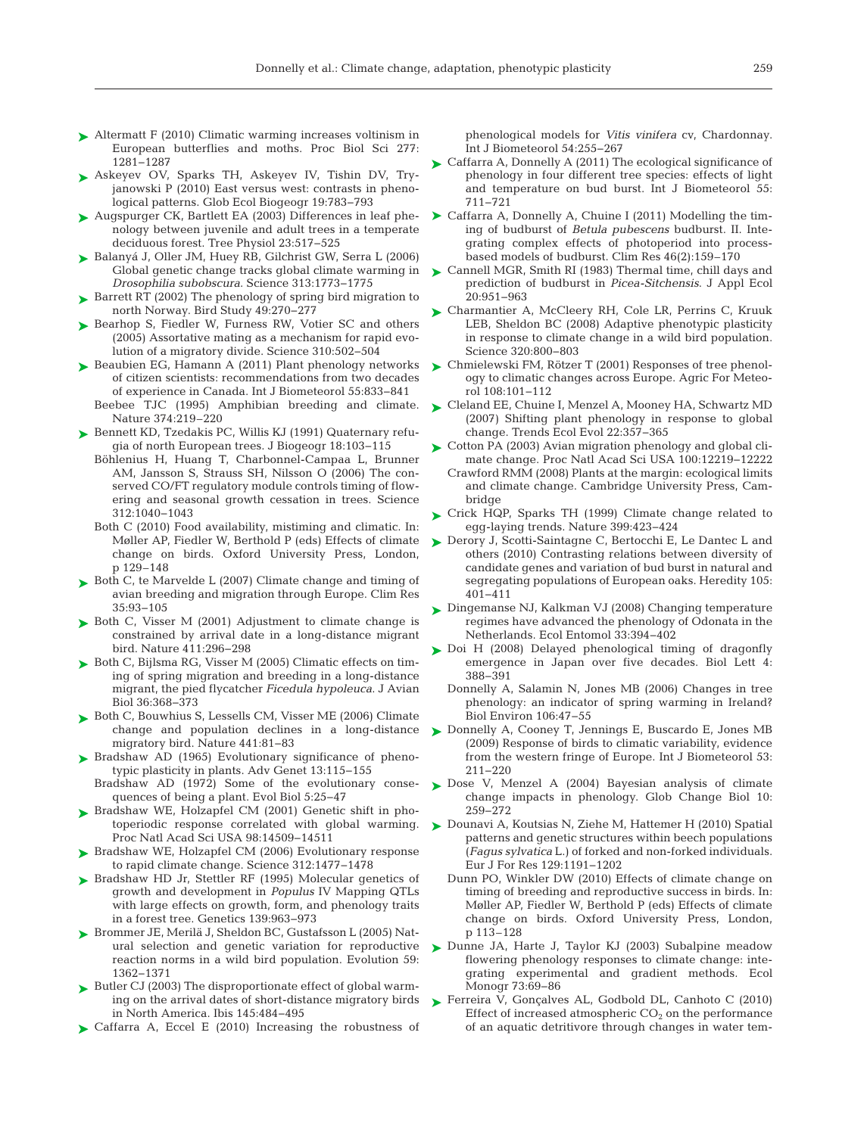- ► Altermatt F (2010) Climatic warming increases voltinism in European butterflies and moths. Proc Biol Sci 277: 1281−1287
- ► Askeyev OV, Sparks TH, Askeyev IV, Tishin DV, Tryjanowski P (2010) East versus west: contrasts in phenological patterns. Glob Ecol Biogeogr 19:783-793
- ► Augspurger CK, Bartlett EA (2003) Differences in leaf phenology between juvenile and adult trees in a temperate deciduous forest. Tree Physiol 23:517-525
- ► Balanyá J, Oller JM, Huey RB, Gilchrist GW, Serra L (2006) Global genetic change tracks global climate warming in *Drosophilia subobscura*. Science 313: 1773−1775
- ► Barrett RT (2002) The phenology of spring bird migration to north Norway. Bird Study 49:270-277
- ▶ Bearhop S, Fiedler W, Furness RW, Votier SC and others (2005) Assortative mating as a mechanism for rapid evolution of a migratory divide. Science 310: 502−504
- ► Beaubien EG, Hamann A (2011) Plant phenology networks of citizen scientists: recommendations from two decades of experience in Canada. Int J Biometeorol 55: 833−841 Beebee TJC (1995) Amphibian breeding and climate.
- Nature 374:219-220
- ► Bennett KD, Tzedakis PC, Willis KJ (1991) Quaternary refugia of north European trees. J Biogeogr 18: 103−115
	- Böhlenius H, Huang T, Charbonnel-Campaa L, Brunner AM, Jansson S, Strauss SH, Nilsson O (2006) The conserved CO/FT regulatory module controls timing of flowering and seasonal growth cessation in trees. Science 312: 1040−1043
	- Both C (2010) Food availability, mistiming and climatic. In: Møller AP, Fiedler W, Berthold P (eds) Effects of climate change on birds. Oxford University Press, London, p 129–148
- ▶ Both C, te Marvelde L (2007) Climate change and timing of avian breeding and migration through Europe. Clim Res 35: 93−105
- ▶ Both C, Visser M (2001) Adjustment to climate change is constrained by arrival date in a long-distance migrant bird. Nature 411:296-298
- ► Both C, Bijlsma RG, Visser M (2005) Climatic effects on timing of spring migration and breeding in a long-distance migrant, the pied flycatcher *Ficedula hypoleuca*. J Avian Biol 36: 368−373
- ▶ Both C, Bouwhius S, Lessells CM, Visser ME (2006) Climate change and population declines in a long-distance migratory bird. Nature 441:81-83
- ▶ Bradshaw AD (1965) Evolutionary significance of phenotypic plasticity in plants. Adv Genet 13: 115−155
- Bradshaw AD (1972) Some of the evolutionary consequences of being a plant. Evol Biol 5:25-47
- ▶ Bradshaw WE, Holzapfel CM (2001) Genetic shift in photoperiodic response correlated with global warming. Proc Natl Acad Sci USA 98: 14509−14511
- ▶ Bradshaw WE, Holzapfel CM (2006) Evolutionary response to rapid climate change. Science 312: 1477−1478
- ▶ Bradshaw HD Jr, Stettler RF (1995) Molecular genetics of growth and development in *Populus* IV Mapping QTLs with large effects on growth, form, and phenology traits in a forest tree. Genetics 139: 963−973
- ▶ Brommer JE, Merilä J, Sheldon BC, Gustafsson L (2005) Natural selection and genetic variation for reproductive reaction norms in a wild bird population. Evolution 59: 1362−1371
- ► Butler CJ (2003) The disproportionate effect of global warming on the arrival dates of short-distance migratory birds in North America. Ibis 145: 484−495
- ▶ Caffarra A, Eccel E (2010) Increasing the robustness of

phenological models for *Vitis vinifera* cv, Chardonnay. Int J Biometeorol 54: 255−267

- ► Caffarra A, Donnelly A (2011) The ecological significance of phenology in four different tree species: effects of light and temperature on bud burst. Int J Biometeorol 55: 711−721
- ▶ Caffarra A, Donnelly A, Chuine I (2011) Modelling the timing of budburst of *Betula pubescens* budburst. II. Integrating complex effects of photoperiod into processbased models of budburst. Clim Res 46(2): 159–170
- ► Cannell MGR, Smith RI (1983) Thermal time, chill days and prediction of budburst in *Picea-Sitchensis*. J Appl Ecol 20: 951–963
- ► Charmantier A, McCleery RH, Cole LR, Perrins C, Kruuk LEB, Sheldon BC (2008) Adaptive phenotypic plasticity in response to climate change in a wild bird population. Science 320: 800−803
- ► Chmielewski FM, Rötzer T (2001) Responses of tree phenology to climatic changes across Europe. Agric For Meteorol 108: 101−112
- ► Cleland EE, Chuine I, Menzel A, Mooney HA, Schwartz MD (2007) Shifting plant phenology in response to global change. Trends Ecol Evol 22: 357−365
- ► Cotton PA (2003) Avian migration phenology and global climate change. Proc Natl Acad Sci USA 100: 12219−12222
- Crawford RMM (2008) Plants at the margin: ecological limits and climate change. Cambridge University Press, Cambridge
- ► Crick HQP, Sparks TH (1999) Climate change related to egg-laying trends. Nature 399:423-424
- ► Derory J, Scotti-Saintagne C, Bertocchi E, Le Dantec L and others (2010) Contrasting relations between diversity of candidate genes and variation of bud burst in natural and segregating populations of European oaks. Heredity 105: 401−411
- ► Dingemanse NJ, Kalkman VJ (2008) Changing temperature regimes have advanced the phenology of Odonata in the Netherlands. Ecol Entomol 33:394-402
- ► Doi H (2008) Delayed phenological timing of dragonfly emergence in Japan over five decades. Biol Lett 4: 388−391
	- Donnelly A, Salamin N, Jones MB (2006) Changes in tree phenology: an indicator of spring warming in Ireland? Biol Environ 106:47-55
- ► Donnelly A, Cooney T, Jennings E, Buscardo E, Jones MB (2009) Response of birds to climatic variability, evidence from the western fringe of Europe. Int J Biometeorol 53: 211−220
- ► Dose V, Menzel A (2004) Bayesian analysis of climate change impacts in phenology. Glob Change Biol 10: 259−272
- ► Dounavi A, Koutsias N, Ziehe M, Hattemer H (2010) Spatial patterns and genetic structures within beech populations (*Fagus sylvatica* L.) of forked and non-forked individuals. Eur J For Res 129: 1191−1202
	- Dunn PO, Winkler DW (2010) Effects of climate change on timing of breeding and reproductive success in birds. In: Møller AP, Fiedler W, Berthold P (eds) Effects of climate change on birds. Oxford University Press, London, p 113–128
- ▶ Dunne JA, Harte J, Taylor KJ (2003) Subalpine meadow flowering phenology responses to climate change: integrating experimental and gradient methods. Ecol Monogr 73:69-86
- ▶ Ferreira V, Gonçalves AL, Godbold DL, Canhoto C (2010) Effect of increased atmospheric  $CO<sub>2</sub>$  on the performance of an aquatic detritivore through changes in water tem-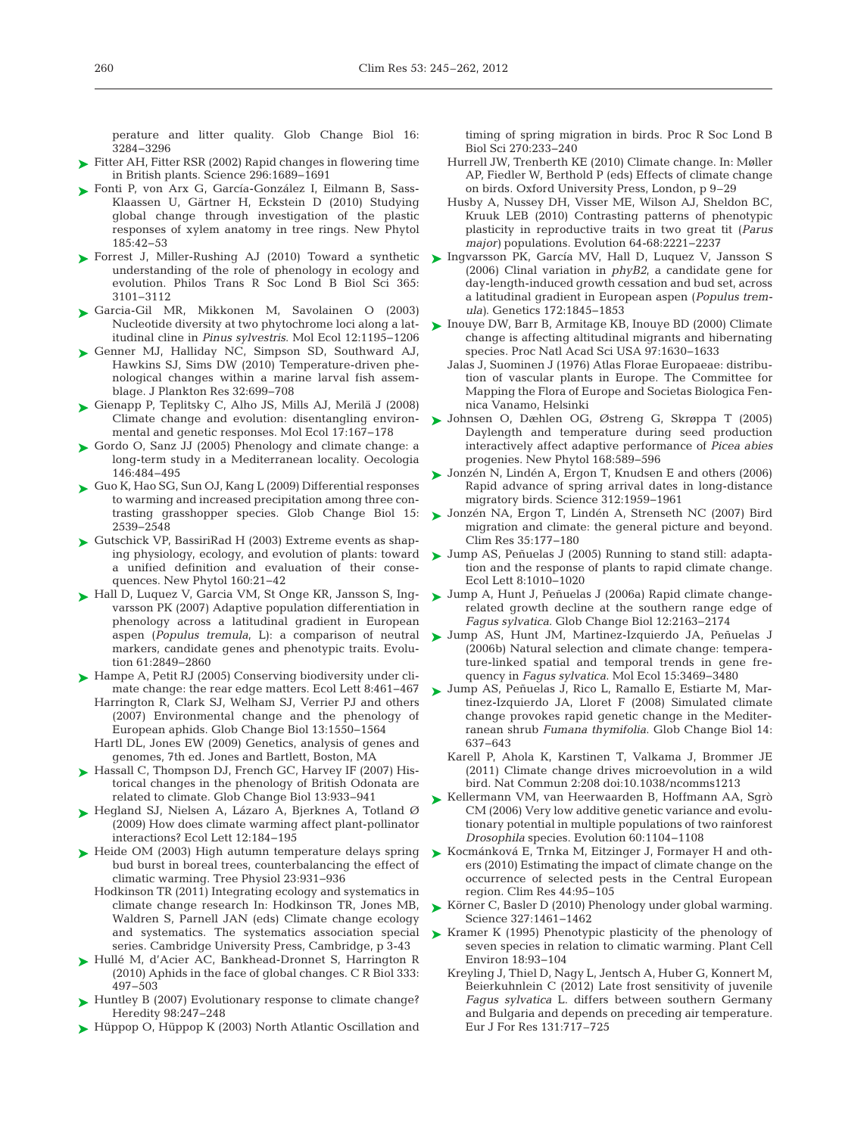perature and litter quality. Glob Change Biol 16: 3284−3296

- ► Fitter AH, Fitter RSR (2002) Rapid changes in flowering time in British plants. Science 296: 1689−1691
- ► Fonti P, von Arx G, García-González I, Eilmann B, Sass-Klaassen U, Gärtner H, Eckstein D (2010) Studying global change through investigation of the plastic responses of xylem anatomy in tree rings. New Phytol 185: 42−53
- ► Forrest J, Miller-Rushing AJ (2010) Toward a synthetic understanding of the role of phenology in ecology and evolution. Philos Trans R Soc Lond B Biol Sci 365: 3101−3112
- Garcia-Gil MR, Mikkonen M, Savolainen O (2003) ➤ Nucleotide diversity at two phytochrome loci along a latitudinal cline in *Pinus sylvestris*. Mol Ecol 12: 1195−1206
- ▶ Genner MJ, Halliday NC, Simpson SD, Southward AJ, Hawkins SJ, Sims DW (2010) Temperature-driven phenological changes within a marine larval fish assemblage. J Plankton Res 32:699–708
- ► Gienapp P, Teplitsky C, Alho JS, Mills AJ, Merilä J (2008) Climate change and evolution: disentangling environmental and genetic responses. Mol Ecol 17: 167−178
- ► Gordo O, Sanz JJ (2005) Phenology and climate change: a long-term study in a Mediterranean locality. Oecologia 146: 484−495
- Guo K, Hao SG, Sun OJ, Kang L (2009) Differential responses ➤ to warming and increased precipitation among three contrasting grasshopper species. Glob Change Biol 15: 2539−2548
- ► Gutschick VP, BassiriRad H (2003) Extreme events as shaping physiology, ecology, and evolution of plants: toward a unified definition and evaluation of their consequences. New Phytol 160:21-42
- ► Hall D, Luquez V, Garcia VM, St Onge KR, Jansson S, Ingvarsson PK (2007) Adaptive population differentiation in phenology across a latitudinal gradient in European aspen (*Populus tremula*, L): a comparison of neutral markers, candidate genes and phenotypic traits. Evolution 61:2849–2860
- ► Hampe A, Petit RJ (2005) Conserving biodiversity under climate change: the rear edge matters. Ecol Lett 8:461−467 Harrington R, Clark SJ, Welham SJ, Verrier PJ and others
	- (2007) Environmental change and the phenology of European aphids. Glob Change Biol 13: 1550−1564
	- Hartl DL, Jones EW (2009) Genetics, analysis of genes and genomes, 7th ed. Jones and Bartlett, Boston, MA
- ► Hassall C, Thompson DJ, French GC, Harvey IF (2007) Historical changes in the phenology of British Odonata are related to climate. Glob Change Biol 13: 933−941
- ► Hegland SJ, Nielsen A, Lázaro A, Bjerknes A, Totland Ø (2009) How does climate warming affect plant-pollinator interactions? Ecol Lett 12: 184−195
- ► Heide OM (2003) High autumn temperature delays spring bud burst in boreal trees, counterbalancing the effect of climatic warming. Tree Physiol 23: 931−936
	- Hodkinson TR (2011) Integrating ecology and systematics in climate change research In: Hodkinson TR, Jones MB, Waldren S, Parnell JAN (eds) Climate change ecology and systematics. The systematics association special series. Cambridge University Press, Cambridge, p 3-43
- ► Hullé M, d'Acier AC, Bankhead-Dronnet S, Harrington R (2010) Aphids in the face of global changes. C R Biol 333: 497−503
- ► Huntley B (2007) Evolutionary response to climate change? Heredity 98:247-248
- ► Hüppop O, Hüppop K (2003) North Atlantic Oscillation and

timing of spring migration in birds. Proc R Soc Lond B Biol Sci 270:233-240

- Hurrell JW, Trenberth KE (2010) Climate change. In: Møller AP, Fiedler W, Berthold P (eds) Effects of climate change on birds. Oxford University Press, London, p 9–29
- Husby A, Nussey DH, Visser ME, Wilson AJ, Sheldon BC, Kruuk LEB (2010) Contrasting patterns of phenotypic plasticity in reproductive traits in two great tit (*Parus major*) populations. Evolution 64-68:2221-2237
- ► Ingvarsson PK, García MV, Hall D, Luquez V, Jansson S (2006) Clinal variation in *phyB2*, a candidate gene for day-length-induced growth cessation and bud set, across a latitudinal gradient in European aspen (*Populus tremula)*. Genetics 172: 1845−1853
- ► Inouye DW, Barr B, Armitage KB, Inouye BD (2000) Climate change is affecting altitudinal migrants and hibernating species. Proc Natl Acad Sci USA 97: 1630−1633
	- Jalas J, Suominen J (1976) Atlas Florae Europaeae: distribution of vascular plants in Europe. The Committee for Mapping the Flora of Europe and Societas Biologica Fennica Vanamo, Helsinki
- Johnsen O, Dæhlen OG, Østreng G, Skrøppa T (2005) ➤ Daylength and temperature during seed production interactively affect adaptive performance of *Picea abies* progenies. New Phytol 168:589-596
- Jonzén N, Lindén A, Ergon T, Knudsen E and others (2006) Rapid advance of spring arrival dates in long-distance migratory birds. Science 312: 1959−1961 ➤
- Jonzén NA, Ergon T, Lindén A, Strenseth NC (2007) Bird ➤ migration and climate: the general picture and beyond. Clim Res 35: 177−180
- ► Jump AS, Peñuelas J (2005) Running to stand still: adaptation and the response of plants to rapid climate change. Ecol Lett 8: 1010−1020
- ► Jump A, Hunt J, Peñuelas J (2006a) Rapid climate changerelated growth decline at the southern range edge of *Fagus sylvatica*. Glob Change Biol 12: 2163−2174
- Jump AS, Hunt JM, Martinez-Izquierdo JA, Peñuelas J ➤ (2006b) Natural selection and climate change: temperature-linked spatial and temporal trends in gene frequency in *Faqus sylvatica*. Mol Ecol 15:3469-3480
- ► Jump AS, Peñuelas J, Rico L, Ramallo E, Estiarte M, Martinez-Izquierdo JA, Lloret F (2008) Simulated climate change provokes rapid genetic change in the Mediterranean shrub *Fumana thymifolia*. Glob Change Biol 14: 637−643
	- Karell P, Ahola K, Karstinen T, Valkama J, Brommer JE (2011) Climate change drives microevolution in a wild bird. Nat Commun 2: 208 doi: 10.1038/ncomms1213
- ► Kellermann VM, van Heerwaarden B, Hoffmann AA, Sgrò CM (2006) Very low additive genetic variance and evolutionary potential in multiple populations of two rainforest *Drosophila* species. Evolution 60: 1104−1108
- ► Kocmánková E, Trnka M, Eitzinger J, Formayer H and others (2010) Estimating the impact of climate change on the occurrence of selected pests in the Central European region. Clim Res 44:95-105
- Körner C, Basler D (2010) Phenology under global warming. ➤ Science 327: 1461−1462
- ► Kramer K (1995) Phenotypic plasticity of the phenology of seven species in relation to climatic warming. Plant Cell Environ 18: 93−104
	- Kreyling J, Thiel D, Nagy L, Jentsch A, Huber G, Konnert M, Beierkuhnlein C (2012) Late frost sensitivity of juvenile *Fagus sylvatica* L. differs between southern Germany and Bulgaria and depends on preceding air temperature. Eur J For Res 131:717–725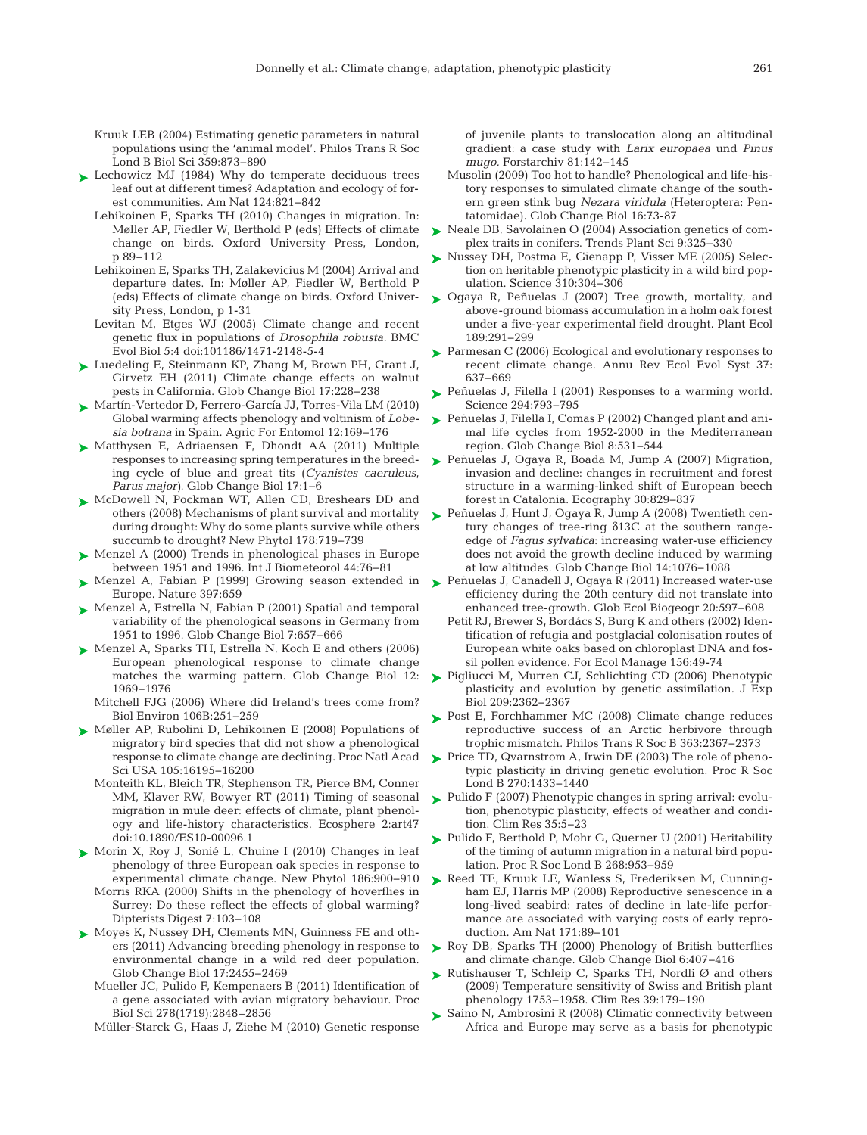- Kruuk LEB (2004) Estimating genetic parameters in natural populations using the 'animal model'. Philos Trans R Soc Lond B Biol Sci 359: 873−890
- ► Lechowicz MJ (1984) Why do temperate deciduous trees leaf out at different times? Adaptation and ecology of forest communities. Am Nat 124: 821−842
	- Lehikoinen E, Sparks TH (2010) Changes in migration. In: Møller AP, Fiedler W, Berthold P (eds) Effects of climate change on birds. Oxford University Press, London, p 89–112
	- Lehikoinen E, Sparks TH, Zalakevicius M (2004) Arrival and departure dates. In:Møller AP, Fiedler W, Berthold P (eds) Effects of climate change on birds. Oxford University Press, London, p 1-31
	- Levitan M, Etges WJ (2005) Climate change and recent genetic flux in populations of *Drosophila robusta*. BMC Evol Biol 5:4 doi:101186/1471-2148-5-4
- ► Luedeling E, Steinmann KP, Zhang M, Brown PH, Grant J, Girvetz EH (2011) Climate change effects on walnut pests in California. Glob Change Biol 17: 228−238
- Martín-Vertedor D, Ferrero-García JJ, Torres-Vila LM (2010) ➤ Global warming affects phenology and voltinism of *Lobesia botrana* in Spain. Agric For Entomol 12: 169−176
- ▶ Matthysen E, Adriaensen F, Dhondt AA (2011) Multiple responses to increasing spring temperatures in the breeding cycle of blue and great tits (*Cyanistes caeruleus*, *Parus major)*. Glob Change Biol 17: 1−6
- ▶ McDowell N, Pockman WT, Allen CD, Breshears DD and others (2008) Mechanisms of plant survival and mortality during drought:Why do some plants survive while others succumb to drought? New Phytol 178:719-739
- ▶ Menzel A (2000) Trends in phenological phases in Europe between 1951 and 1996. Int J Biometeorol 44:76-81
- ► Menzel A, Fabian P (1999) Growing season extended in Europe. Nature 397:659
- ► Menzel A, Estrella N, Fabian P (2001) Spatial and temporal variability of the phenological seasons in Germany from 1951 to 1996. Glob Change Biol 7:657-666
- Menzel A, Sparks TH, Estrella N, Koch E and others (2006) ➤ European phenological response to climate change matches the warming pattern. Glob Change Biol 12: 1969−1976
	- Mitchell FJG (2006) Where did Ireland's trees come from? Biol Environ 106B: 251-259
- ▶ Møller AP, Rubolini D, Lehikoinen E (2008) Populations of migratory bird species that did not show a phenological response to climate change are declining. Proc Natl Acad Sci USA 105: 16195−16200
	- Monteith KL, Bleich TR, Stephenson TR, Pierce BM, Conner MM, Klaver RW, Bowyer RT (2011) Timing of seasonal migration in mule deer: effects of climate, plant phenology and life-history characteristics. Ecosphere 2:art47 doi:10.1890/ES10-00096.1
- ► Morin X, Roy J, Sonié L, Chuine I (2010) Changes in leaf phenology of three European oak species in response to experimental climate change. New Phytol 186:900–910
	- Morris RKA (2000) Shifts in the phenology of hoverflies in Surrey: Do these reflect the effects of global warming? Dipterists Digest 7: 103−108
- ► Moyes K, Nussey DH, Clements MN, Guinness FE and others (2011) Advancing breeding phenology in response to environmental change in a wild red deer population. Glob Change Biol 17: 2455−2469
	- Mueller JC, Pulido F, Kempenaers B (2011) Identification of a gene associated with avian migratory behaviour. Proc Biol Sci 278(1719): 2848–2856
	- Müller-Starck G, Haas J, Ziehe M (2010) Genetic response

of juvenile plants to translocation along an altitudinal gradient:a case study with *Larix europaea* und *Pinus mugo.* Forstarchiv 81: 142−145

- Musolin (2009) Too hot to handle? Phenological and life-history responses to simulated climate change of the southern green stink bug *Nezara viridula* (Heteroptera: Pentatomidae). Glob Change Biol 16:73-87
- ► Neale DB, Savolainen O (2004) Association genetics of complex traits in conifers. Trends Plant Sci 9:325-330
- ► Nussey DH, Postma E, Gienapp P, Visser ME (2005) Selection on heritable phenotypic plasticity in a wild bird population. Science 310: 304−306
- ▶ Ogaya R, Peñuelas J (2007) Tree growth, mortality, and above-ground biomass accumulation in a holm oak forest under a five-year experimental field drought. Plant Ecol 189: 291−299
- ► Parmesan C (2006) Ecological and evolutionary responses to recent climate change. Annu Rev Ecol Evol Syst 37: 637−669
- ► Peñuelas J, Filella I (2001) Responses to a warming world. Science 294: 793−795
- Peñuelas J, Filella I, Comas P (2002) Changed plant and ani-➤ mal life cycles from 1952-2000 in the Mediterranean region. Glob Change Biol 8: 531−544
- Peñuelas J, Ogaya R, Boada M, Jump A (2007) Migration, ➤ invasion and decline: changes in recruitment and forest structure in a warming-linked shift of European beech forest in Catalonia. Ecography 30: 829−837
- Peñuelas J, Hunt J, Ogaya R, Jump A (2008) Twentieth cen-➤ tury changes of tree-ring δ13C at the southern rangeedge of *Fagus sylvatica*: increasing water-use efficiency does not avoid the growth decline induced by warming at low altitudes. Glob Change Biol 14: 1076−1088
- Peñuelas J, Canadell J, Ogaya R (2011) Increased water-use ➤ efficiency during the 20th century did not translate into enhanced tree-growth. Glob Ecol Biogeogr 20:597-608
	- Petit RJ, Brewer S, Bordács S, Burg K and others (2002) Identification of refugia and postglacial colonisation routes of European white oaks based on chloroplast DNA and fossil pollen evidence. For Ecol Manage 156:49-74
- ► Pigliucci M, Murren CJ, Schlichting CD (2006) Phenotypic plasticity and evolution by genetic assimilation. J Exp Biol 209: 2362−2367
- ▶ Post E, Forchhammer MC (2008) Climate change reduces reproductive success of an Arctic herbivore through trophic mismatch. Philos Trans R Soc B 363: 2367−2373
- ▶ Price TD, Qvarnstrom A, Irwin DE (2003) The role of phenotypic plasticity in driving genetic evolution. Proc R Soc Lond B 270: 1433−1440
- ► Pulido F (2007) Phenotypic changes in spring arrival: evolution, phenotypic plasticity, effects of weather and condition. Clim Res 35:5-23
- ► Pulido F, Berthold P, Mohr G, Querner U (2001) Heritability of the timing of autumn migration in a natural bird population. Proc R Soc Lond B 268:953-959
- ▶ Reed TE, Kruuk LE, Wanless S, Frederiksen M, Cunningham EJ, Harris MP (2008) Reproductive senescence in a long-lived seabird: rates of decline in late-life performance are associated with varying costs of early reproduction. Am Nat 171:89-101
- ► Roy DB, Sparks TH (2000) Phenology of British butterflies and climate change. Glob Change Biol 6: 407−416
- $\blacktriangleright$  Rutishauser T, Schleip C, Sparks TH, Nordli Ø and others (2009) Temperature sensitivity of Swiss and British plant phenology 1753−1958. Clim Res 39: 179−190
- ► Saino N, Ambrosini R (2008) Climatic connectivity between Africa and Europe may serve as a basis for phenotypic